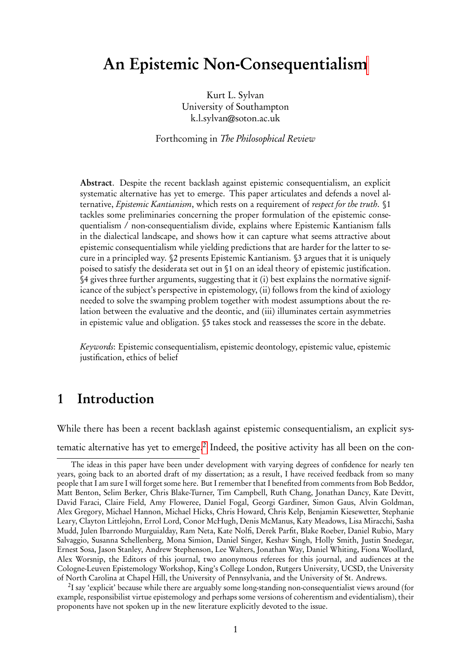# <span id="page-0-0"></span>An Epistemic Non-Consequentialism

Kurt L. Sylvan University of Southampton k.l.sylvan@soton.ac.uk

Forthcoming in The Philosophical Review

Abstract. Despite the recent backlash against epistemic consequentialism, an explicit systematic alternative has yet to emerge. This paper articulates and defends a novel alternative, *Epistemic Kantianism*, which rests on a requirement of *respect for the truth*. §1 tackles some preliminaries concerning the proper formulation of the epistemic consequentialism / non-consequentialism divide, explains where Epistemic Kantianism falls in the dialectical landscape, and shows how it can capture what seems attractive about epistemic consequentialism while yielding predictions that are harder for the latter to secure in a principled way. §2 presents Epistemic Kantianism. §3 argues that it is uniquely poised to satisfy the desiderata set out in §1 on an ideal theory of epistemic justification. §4 gives three further arguments, suggesting that it (i) best explains the normative significance of the subject's perspective in epistemology, (ii) follows from the kind of axiology needed to solve the swamping problem together with modest assumptions about the relation between the evaluative and the deontic, and (iii) illuminates certain asymmetries in epistemic value and obligation. §5 takes stock and reassesses the score in the debate.

Keywords: Epistemic consequentialism, epistemic deontology, epistemic value, epistemic justification, ethics of belief

## 1 Introduction

While there has been a recent backlash against epistemic consequentialism, an explicit systematic alternative has yet to emerge. $^2$  Indeed, the positive activity has all been on the con-

 $^2$ I say 'explicit' because while there are arguably some long-standing non-consequentialist views around (for example, responsibilist virtue epistemology and perhaps some versions of coherentism and evidentialism), their proponents have not spoken up in the new literature explicitly devoted to the issue.

The ideas in this paper have been under development with varying degrees of confidence for nearly ten years, going back to an aborted draft of my dissertation; as a result, I have received feedback from so many people that I am sure I will forget some here. But I remember that I benefited from comments from Bob Beddor, Matt Benton, Selim Berker, Chris Blake-Turner, Tim Campbell, Ruth Chang, Jonathan Dancy, Kate Devitt, David Faraci, Claire Field, Amy Floweree, Daniel Fogal, Georgi Gardiner, Simon Gaus, Alvin Goldman, Alex Gregory, Michael Hannon, Michael Hicks, Chris Howard, Chris Kelp, Benjamin Kiesewetter, Stephanie Leary, Clayton Littlejohn, Errol Lord, Conor McHugh, Denis McManus, Katy Meadows, Lisa Miracchi, Sasha Mudd, Julen Ibarrondo Murguialday, Ram Neta, Kate Nolfi, Derek Parfit, Blake Roeber, Daniel Rubio, Mary Salvaggio, Susanna Schellenberg, Mona Simion, Daniel Singer, Keshav Singh, Holly Smith, Justin Snedegar, Ernest Sosa, Jason Stanley, Andrew Stephenson, Lee Walters, Jonathan Way, Daniel Whiting, Fiona Woollard, Alex Worsnip, the Editors of this journal, two anonymous referees for this journal, and audiences at the Cologne-Leuven Epistemology Workshop, King's College London, Rutgers University, UCSD, the University of North Carolina at Chapel Hill, the University of Pennsylvania, and the University of St. Andrews.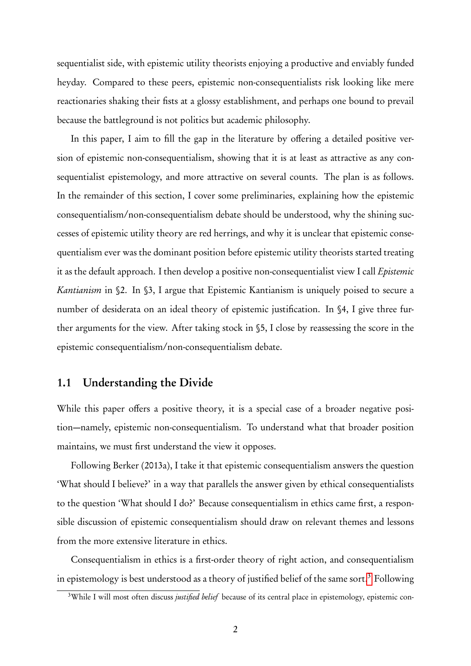sequentialist side, with epistemic utility theorists enjoying a productive and enviably funded heyday. Compared to these peers, epistemic non-consequentialists risk looking like mere reactionaries shaking their fists at a glossy establishment, and perhaps one bound to prevail because the battleground is not politics but academic philosophy.

In this paper, I aim to fill the gap in the literature by offering a detailed positive version of epistemic non-consequentialism, showing that it is at least as attractive as any consequentialist epistemology, and more attractive on several counts. The plan is as follows. In the remainder of this section, I cover some preliminaries, explaining how the epistemic consequentialism/non-consequentialism debate should be understood, why the shining successes of epistemic utility theory are red herrings, and why it is unclear that epistemic consequentialism ever was the dominant position before epistemic utility theorists started treating it as the default approach. I then develop a positive non-consequentialist view I call *Epistemic* Kantianism in §2. In §3, I argue that Epistemic Kantianism is uniquely poised to secure a number of desiderata on an ideal theory of epistemic justification. In §4, I give three further arguments for the view. After taking stock in §5, I close by reassessing the score in the epistemic consequentialism/non-consequentialism debate.

### 1.1 Understanding the Divide

While this paper offers a positive theory, it is a special case of a broader negative position—namely, epistemic non-consequentialism. To understand what that broader position maintains, we must first understand the view it opposes.

Following Berker (2013a), I take it that epistemic consequentialism answers the question 'What should I believe?' in a way that parallels the answer given by ethical consequentialists to the question 'What should I do?' Because consequentialism in ethics came first, a responsible discussion of epistemic consequentialism should draw on relevant themes and lessons from the more extensive literature in ethics.

Consequentialism in ethics is a first-order theory of right action, and consequentialism in epistemology is best understood as a theory of justified belief of the same sort.<sup>[3](#page-0-0)</sup> Following

<sup>&</sup>lt;sup>3</sup>While I will most often discuss *justified belief* because of its central place in epistemology, epistemic con-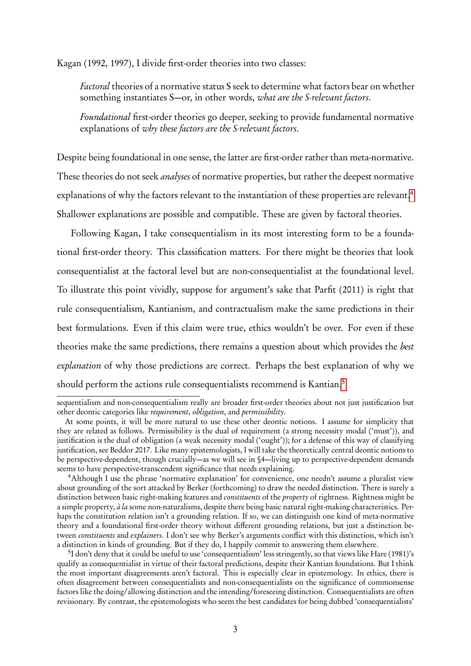Kagan (1992, 1997), I divide first-order theories into two classes:

Factoral theories of a normative status S seek to determine what factors bear on whether something instantiates S—or, in other words, what are the S-relevant factors.

Foundational first-order theories go deeper, seeking to provide fundamental normative explanations of why these factors are the S-relevant factors.

Despite being foundational in one sense, the latter are first-order rather than meta-normative. These theories do not seek *analyses* of normative properties, but rather the deepest normative explanations of why the factors relevant to the instantiation of these properties are relevant.<sup>[4](#page-0-0)</sup> Shallower explanations are possible and compatible. These are given by factoral theories.

Following Kagan, I take consequentialism in its most interesting form to be a foundational first-order theory. This classification matters. For there might be theories that look consequentialist at the factoral level but are non-consequentialist at the foundational level. To illustrate this point vividly, suppose for argument's sake that Parfit (2011) is right that rule consequentialism, Kantianism, and contractualism make the same predictions in their best formulations. Even if this claim were true, ethics wouldn't be over. For even if these theories make the same predictions, there remains a question about which provides the best explanation of why those predictions are correct. Perhaps the best explanation of why we should perform the actions rule consequentialists recommend is Kantian.<sup>[5](#page-0-0)</sup>

sequentialism and non-consequentialism really are broader first-order theories about not just justification but other deontic categories like requirement, obligation, and permissibility.

At some points, it will be more natural to use these other deontic notions. I assume for simplicity that they are related as follows. Permissibility is the dual of requirement (a strong necessity modal ('must')), and justification is the dual of obligation (a weak necessity modal ('ought')); for a defense of this way of classifying justification, see Beddor 2017. Like many epistemologists, I will take the theoretically central deontic notions to be perspective-dependent, though crucially—as we will see in §4—living up to perspective-dependent demands seems to have perspective-transcendent significance that needs explaining.

<sup>&</sup>lt;sup>4</sup>Although I use the phrase 'normative explanation' for convenience, one needn't assume a pluralist view about grounding of the sort attacked by Berker ( forthcoming) to draw the needed distinction. There is surely a distinction between basic right-making features and *constituents* of the *property* of rightness. Rightness might be a simple property,  $\dot{a}$  la some non-naturalisms, despite there being basic natural right-making characteristics. Perhaps the constitution relation isn't a grounding relation. If so, we can distinguish one kind of meta-normative theory and a foundational first-order theory without different grounding relations, but just a distinction between constituents and explainers. I don't see why Berker's arguments conflict with this distinction, which isn't a distinction in kinds of grounding. But if they do, I happily commit to answering them elsewhere.

<sup>&</sup>lt;sup>5</sup>I don't deny that it could be useful to use 'consequentialism' less stringently, so that views like Hare (1981)'s qualify as consequentialist in virtue of their factoral predictions, despite their Kantian foundations. But I think the most important disagreements aren't factoral. This is especially clear in epistemology. In ethics, there is often disagreement between consequentialists and non-consequentialists on the significance of commonsense factors like the doing/allowing distinction and the intending/foreseeing distinction. Consequentialists are often revisionary. By contrast, the epistemologists who seem the best candidates for being dubbed 'consequentialists'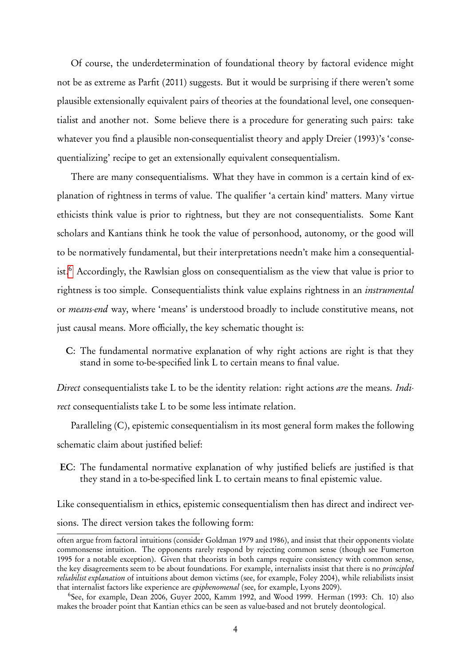Of course, the underdetermination of foundational theory by factoral evidence might not be as extreme as Parfit (2011) suggests. But it would be surprising if there weren't some plausible extensionally equivalent pairs of theories at the foundational level, one consequentialist and another not. Some believe there is a procedure for generating such pairs: take whatever you find a plausible non-consequentialist theory and apply Dreier (1993)'s 'consequentializing' recipe to get an extensionally equivalent consequentialism.

There are many consequentialisms. What they have in common is a certain kind of explanation of rightness in terms of value. The qualifier 'a certain kind' matters. Many virtue ethicists think value is prior to rightness, but they are not consequentialists. Some Kant scholars and Kantians think he took the value of personhood, autonomy, or the good will to be normatively fundamental, but their interpretations needn't make him a consequential-ist.<sup>[6](#page-0-0)</sup> Accordingly, the Rawlsian gloss on consequentialism as the view that value is prior to rightness is too simple. Consequentialists think value explains rightness in an instrumental or means-end way, where 'means' is understood broadly to include constitutive means, not just causal means. More officially, the key schematic thought is:

C: The fundamental normative explanation of why right actions are right is that they stand in some to-be-specified link L to certain means to final value.

Direct consequentialists take L to be the identity relation: right actions are the means. Indirect consequentialists take L to be some less intimate relation.

Paralleling (C), epistemic consequentialism in its most general form makes the following schematic claim about justified belief:

EC: The fundamental normative explanation of why justified beliefs are justified is that they stand in a to-be-specified link L to certain means to final epistemic value.

Like consequentialism in ethics, epistemic consequentialism then has direct and indirect versions. The direct version takes the following form:

often argue from factoral intuitions (consider Goldman 1979 and 1986), and insist that their opponents violate commonsense intuition. The opponents rarely respond by rejecting common sense (though see Fumerton 1995 for a notable exception). Given that theorists in both camps require consistency with common sense, the key disagreements seem to be about foundations. For example, internalists insist that there is no *principled* reliabilist explanation of intuitions about demon victims (see, for example, Foley 2004), while reliabilists insist that internalist factors like experience are epiphenomenal (see, for example, Lyons 2009).

<sup>6</sup> See, for example, Dean 2006, Guyer 2000, Kamm 1992, and Wood 1999. Herman (1993: Ch. 10) also makes the broader point that Kantian ethics can be seen as value-based and not brutely deontological.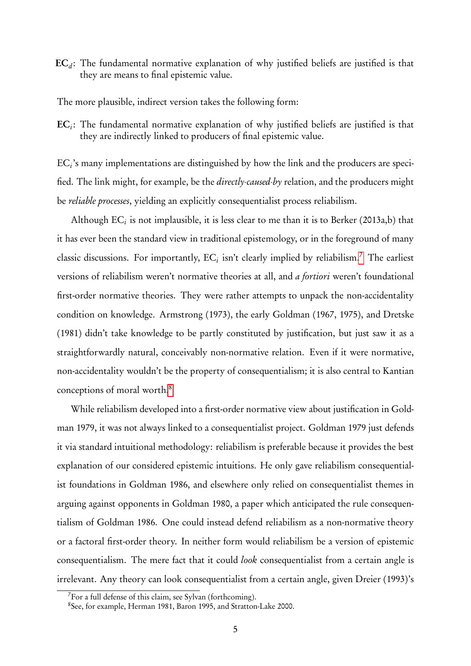$\mathbf{EC}_{d}$ : The fundamental normative explanation of why justified beliefs are justified is that they are means to final epistemic value.

The more plausible, indirect version takes the following form:

 $\mathbf{EC}_i$ : The fundamental normative explanation of why justified beliefs are justified is that they are indirectly linked to producers of final epistemic value.

 $\mathrm{EC}_{i}$ 's many implementations are distinguished by how the link and the producers are specified. The link might, for example, be the directly-caused-by relation, and the producers might be reliable processes, yielding an explicitly consequentialist process reliabilism.

Although  $\mathrm{EC}_i$  is not implausible, it is less clear to me than it is to Berker (2013a,b) that it has ever been the standard view in traditional epistemology, or in the foreground of many classic discussions. For importantly,  $EC_i$  isn't clearly implied by reliabilism.<sup>[7](#page-0-0)</sup> The earliest versions of reliabilism weren't normative theories at all, and a fortiori weren't foundational first-order normative theories. They were rather attempts to unpack the non-accidentality condition on knowledge. Armstrong (1973), the early Goldman (1967, 1975), and Dretske (1981) didn't take knowledge to be partly constituted by justification, but just saw it as a straightforwardly natural, conceivably non-normative relation. Even if it were normative, non-accidentality wouldn't be the property of consequentialism; it is also central to Kantian conceptions of moral worth.[8](#page-0-0)

While reliabilism developed into a first-order normative view about justification in Goldman 1979, it was not always linked to a consequentialist project. Goldman 1979 just defends it via standard intuitional methodology: reliabilism is preferable because it provides the best explanation of our considered epistemic intuitions. He only gave reliabilism consequentialist foundations in Goldman 1986, and elsewhere only relied on consequentialist themes in arguing against opponents in Goldman 1980, a paper which anticipated the rule consequentialism of Goldman 1986. One could instead defend reliabilism as a non-normative theory or a factoral first-order theory. In neither form would reliabilism be a version of epistemic consequentialism. The mere fact that it could look consequentialist from a certain angle is irrelevant. Any theory can look consequentialist from a certain angle, given Dreier (1993)'s

 $7$ For a full defense of this claim, see Sylvan (forthcoming).

<sup>8</sup> See, for example, Herman 1981, Baron 1995, and Stratton-Lake 2000.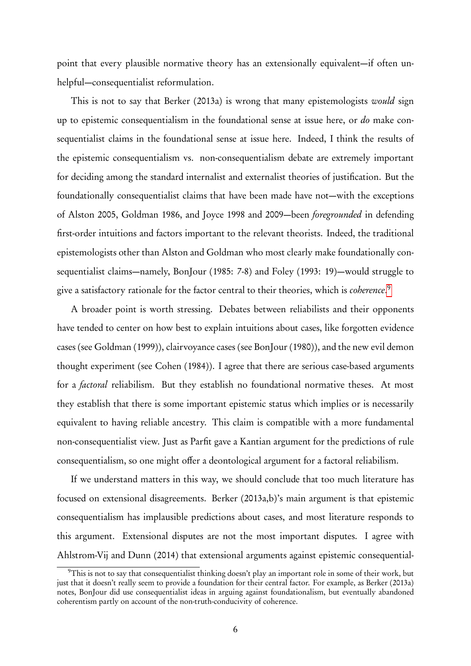point that every plausible normative theory has an extensionally equivalent—if often unhelpful—consequentialist reformulation.

This is not to say that Berker (2013a) is wrong that many epistemologists would sign up to epistemic consequentialism in the foundational sense at issue here, or do make consequentialist claims in the foundational sense at issue here. Indeed, I think the results of the epistemic consequentialism vs. non-consequentialism debate are extremely important for deciding among the standard internalist and externalist theories of justification. But the foundationally consequentialist claims that have been made have not—with the exceptions of Alston 2005, Goldman 1986, and Joyce 1998 and 2009—been foregrounded in defending first-order intuitions and factors important to the relevant theorists. Indeed, the traditional epistemologists other than Alston and Goldman who most clearly make foundationally consequentialist claims—namely, BonJour (1985: 7-8) and Foley (1993: 19)—would struggle to give a satisfactory rationale for the factor central to their theories, which is coherence.<sup>[9](#page-0-0)</sup>

A broader point is worth stressing. Debates between reliabilists and their opponents have tended to center on how best to explain intuitions about cases, like forgotten evidence cases (see Goldman (1999)), clairvoyance cases (see BonJour (1980)), and the new evil demon thought experiment (see Cohen (1984)). I agree that there are serious case-based arguments for a factoral reliabilism. But they establish no foundational normative theses. At most they establish that there is some important epistemic status which implies or is necessarily equivalent to having reliable ancestry. This claim is compatible with a more fundamental non-consequentialist view. Just as Parfit gave a Kantian argument for the predictions of rule consequentialism, so one might offer a deontological argument for a factoral reliabilism.

If we understand matters in this way, we should conclude that too much literature has focused on extensional disagreements. Berker (2013a,b)'s main argument is that epistemic consequentialism has implausible predictions about cases, and most literature responds to this argument. Extensional disputes are not the most important disputes. I agree with Ahlstrom-Vij and Dunn (2014) that extensional arguments against epistemic consequential-

<sup>&</sup>lt;sup>9</sup>This is not to say that consequentialist thinking doesn't play an important role in some of their work, but just that it doesn't really seem to provide a foundation for their central factor. For example, as Berker (2013a) notes, BonJour did use consequentialist ideas in arguing against foundationalism, but eventually abandoned coherentism partly on account of the non-truth-conducivity of coherence.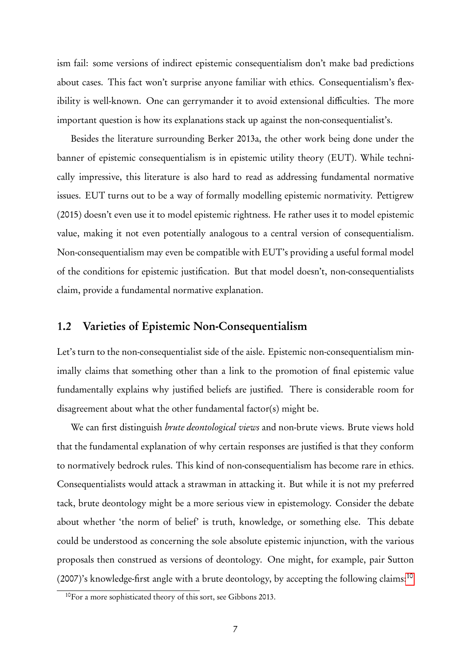ism fail: some versions of indirect epistemic consequentialism don't make bad predictions about cases. This fact won't surprise anyone familiar with ethics. Consequentialism's flexibility is well-known. One can gerrymander it to avoid extensional difficulties. The more important question is how its explanations stack up against the non-consequentialist's.

Besides the literature surrounding Berker 2013a, the other work being done under the banner of epistemic consequentialism is in epistemic utility theory (EUT). While technically impressive, this literature is also hard to read as addressing fundamental normative issues. EUT turns out to be a way of formally modelling epistemic normativity. Pettigrew (2015) doesn't even use it to model epistemic rightness. He rather uses it to model epistemic value, making it not even potentially analogous to a central version of consequentialism. Non-consequentialism may even be compatible with EUT's providing a useful formal model of the conditions for epistemic justification. But that model doesn't, non-consequentialists claim, provide a fundamental normative explanation.

#### 1.2 Varieties of Epistemic Non-Consequentialism

Let's turn to the non-consequentialist side of the aisle. Epistemic non-consequentialism minimally claims that something other than a link to the promotion of final epistemic value fundamentally explains why justified beliefs are justified. There is considerable room for disagreement about what the other fundamental factor(s) might be.

We can first distinguish *brute deontological views* and non-brute views. Brute views hold that the fundamental explanation of why certain responses are justified is that they conform to normatively bedrock rules. This kind of non-consequentialism has become rare in ethics. Consequentialists would attack a strawman in attacking it. But while it is not my preferred tack, brute deontology might be a more serious view in epistemology. Consider the debate about whether 'the norm of belief' is truth, knowledge, or something else. This debate could be understood as concerning the sole absolute epistemic injunction, with the various proposals then construed as versions of deontology. One might, for example, pair Sutton (2007)'s knowledge-first angle with a brute deontology, by accepting the following claims:[10](#page-0-0)

<sup>10</sup>For a more sophisticated theory of this sort, see Gibbons 2013.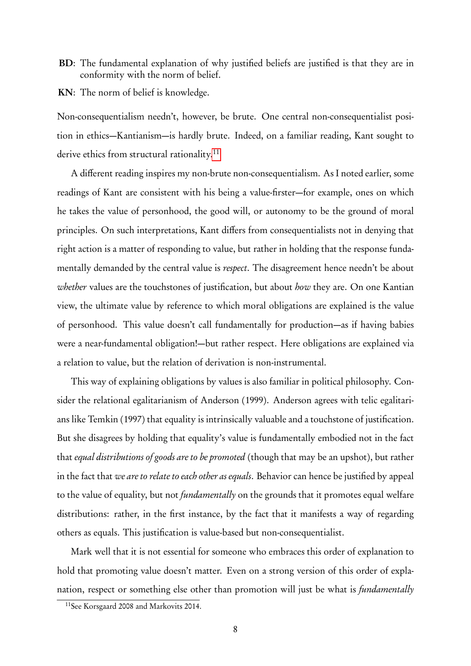BD: The fundamental explanation of why justified beliefs are justified is that they are in conformity with the norm of belief.

KN: The norm of belief is knowledge.

Non-consequentialism needn't, however, be brute. One central non-consequentialist position in ethics—Kantianism—is hardly brute. Indeed, on a familiar reading, Kant sought to derive ethics from structural rationality.<sup>[11](#page-0-0)</sup>

A different reading inspires my non-brute non-consequentialism. As I noted earlier, some readings of Kant are consistent with his being a value-firster—for example, ones on which he takes the value of personhood, the good will, or autonomy to be the ground of moral principles. On such interpretations, Kant differs from consequentialists not in denying that right action is a matter of responding to value, but rather in holding that the response fundamentally demanded by the central value is respect. The disagreement hence needn't be about whether values are the touchstones of justification, but about how they are. On one Kantian view, the ultimate value by reference to which moral obligations are explained is the value of personhood. This value doesn't call fundamentally for production—as if having babies were a near-fundamental obligation!—but rather respect. Here obligations are explained via a relation to value, but the relation of derivation is non-instrumental.

This way of explaining obligations by values is also familiar in political philosophy. Consider the relational egalitarianism of Anderson (1999). Anderson agrees with telic egalitarians like Temkin (1997) that equality is intrinsically valuable and a touchstone of justification. But she disagrees by holding that equality's value is fundamentally embodied not in the fact that equal distributions of goods are to be promoted ( though that may be an upshot), but rather in the fact that we are to relate to each other as equals. Behavior can hence be justified by appeal to the value of equality, but not *fundamentally* on the grounds that it promotes equal welfare distributions: rather, in the first instance, by the fact that it manifests a way of regarding others as equals. This justification is value-based but non-consequentialist.

Mark well that it is not essential for someone who embraces this order of explanation to hold that promoting value doesn't matter. Even on a strong version of this order of explanation, respect or something else other than promotion will just be what is *fundamentally* 

<sup>11</sup>See Korsgaard 2008 and Markovits 2014.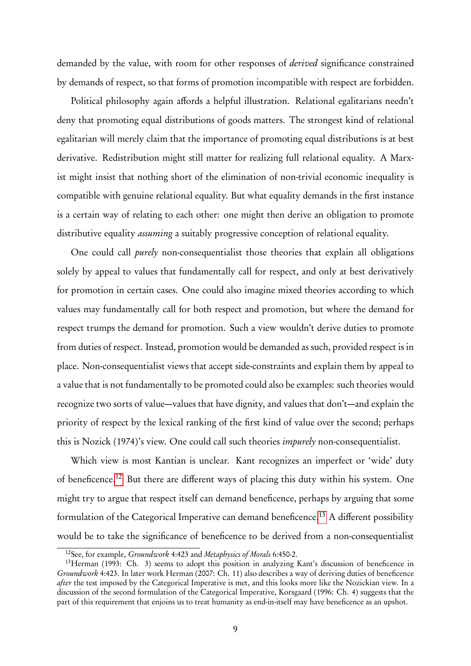demanded by the value, with room for other responses of derived significance constrained by demands of respect, so that forms of promotion incompatible with respect are forbidden.

Political philosophy again affords a helpful illustration. Relational egalitarians needn't deny that promoting equal distributions of goods matters. The strongest kind of relational egalitarian will merely claim that the importance of promoting equal distributions is at best derivative. Redistribution might still matter for realizing full relational equality. A Marxist might insist that nothing short of the elimination of non-trivial economic inequality is compatible with genuine relational equality. But what equality demands in the first instance is a certain way of relating to each other: one might then derive an obligation to promote distributive equality *assuming* a suitably progressive conception of relational equality.

One could call purely non-consequentialist those theories that explain all obligations solely by appeal to values that fundamentally call for respect, and only at best derivatively for promotion in certain cases. One could also imagine mixed theories according to which values may fundamentally call for both respect and promotion, but where the demand for respect trumps the demand for promotion. Such a view wouldn't derive duties to promote from duties of respect. Instead, promotion would be demanded as such, provided respect is in place. Non-consequentialist views that accept side-constraints and explain them by appeal to a value that is not fundamentally to be promoted could also be examples: such theories would recognize two sorts of value—values that have dignity, and values that don't—and explain the priority of respect by the lexical ranking of the first kind of value over the second; perhaps this is Nozick (1974)'s view. One could call such theories impurely non-consequentialist.

Which view is most Kantian is unclear. Kant recognizes an imperfect or 'wide' duty of beneficence.[12](#page-0-0) But there are different ways of placing this duty within his system. One might try to argue that respect itself can demand beneficence, perhaps by arguing that some formulation of the Categorical Imperative can demand beneficence.<sup>[13](#page-0-0)</sup> A different possibility would be to take the significance of beneficence to be derived from a non-consequentialist

 $12$ See, for example, *Groundwork* 4:423 and *Metaphysics of Morals* 6:450-2.

<sup>&</sup>lt;sup>13</sup>Herman (1993: Ch. 3) seems to adopt this position in analyzing Kant's discussion of beneficence in Groundwork 4:423. In later work Herman (2007: Ch. 11) also describes a way of deriving duties of beneficence after the test imposed by the Categorical Imperative is met, and this looks more like the Nozickian view. In a discussion of the second formulation of the Categorical Imperative, Korsgaard (1996: Ch. 4) suggests that the part of this requirement that enjoins us to treat humanity as end-in-itself may have beneficence as an upshot.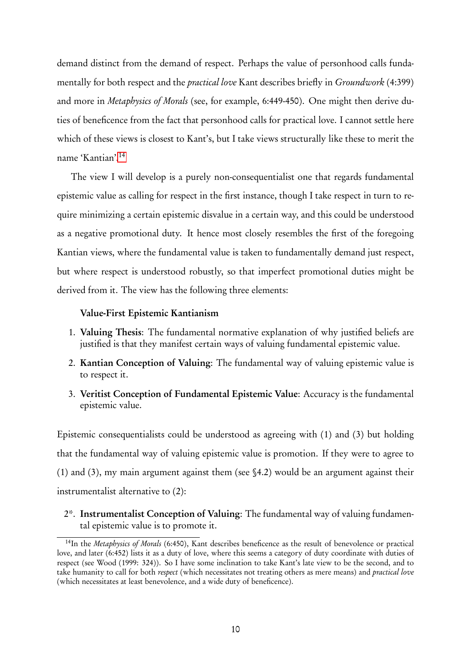demand distinct from the demand of respect. Perhaps the value of personhood calls fundamentally for both respect and the *practical love* Kant describes briefly in *Groundwork* (4:399) and more in Metaphysics of Morals (see, for example, 6:449-450). One might then derive duties of beneficence from the fact that personhood calls for practical love. I cannot settle here which of these views is closest to Kant's, but I take views structurally like these to merit the name 'Kantian'.[14](#page-0-0)

The view I will develop is a purely non-consequentialist one that regards fundamental epistemic value as calling for respect in the first instance, though I take respect in turn to require minimizing a certain epistemic disvalue in a certain way, and this could be understood as a negative promotional duty. It hence most closely resembles the first of the foregoing Kantian views, where the fundamental value is taken to fundamentally demand just respect, but where respect is understood robustly, so that imperfect promotional duties might be derived from it. The view has the following three elements:

#### Value-First Epistemic Kantianism

- 1. Valuing Thesis: The fundamental normative explanation of why justified beliefs are justified is that they manifest certain ways of valuing fundamental epistemic value.
- 2. Kantian Conception of Valuing: The fundamental way of valuing epistemic value is to respect it.
- 3. Veritist Conception of Fundamental Epistemic Value: Accuracy is the fundamental epistemic value.

Epistemic consequentialists could be understood as agreeing with (1) and (3) but holding that the fundamental way of valuing epistemic value is promotion. If they were to agree to (1) and (3), my main argument against them (see §4.2) would be an argument against their instrumentalist alternative to (2):

2\*. Instrumentalist Conception of Valuing: The fundamental way of valuing fundamental epistemic value is to promote it.

<sup>&</sup>lt;sup>14</sup>In the *Metaphysics of Morals* (6:450), Kant describes beneficence as the result of benevolence or practical love, and later (6:452) lists it as a duty of love, where this seems a category of duty coordinate with duties of respect (see Wood (1999: 324)). So I have some inclination to take Kant's late view to be the second, and to take humanity to call for both respect (which necessitates not treating others as mere means) and practical love (which necessitates at least benevolence, and a wide duty of beneficence).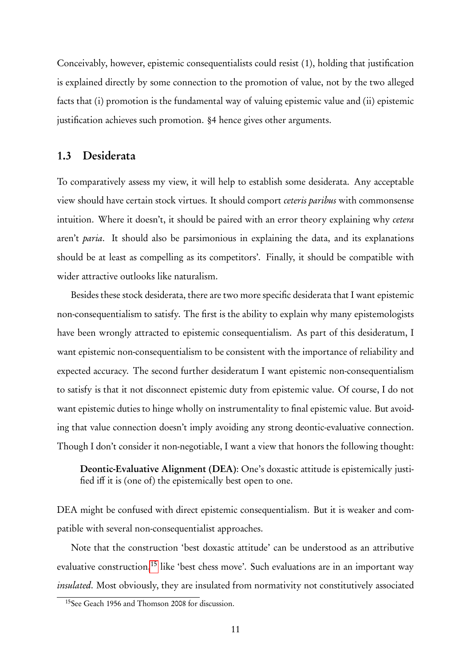Conceivably, however, epistemic consequentialists could resist (1), holding that justification is explained directly by some connection to the promotion of value, not by the two alleged facts that (i) promotion is the fundamental way of valuing epistemic value and (ii) epistemic justification achieves such promotion. §4 hence gives other arguments.

#### 1.3 Desiderata

To comparatively assess my view, it will help to establish some desiderata. Any acceptable view should have certain stock virtues. It should comport ceteris paribus with commonsense intuition. Where it doesn't, it should be paired with an error theory explaining why cetera aren't paria. It should also be parsimonious in explaining the data, and its explanations should be at least as compelling as its competitors'. Finally, it should be compatible with wider attractive outlooks like naturalism.

Besides these stock desiderata, there are two more specific desiderata that I want epistemic non-consequentialism to satisfy. The first is the ability to explain why many epistemologists have been wrongly attracted to epistemic consequentialism. As part of this desideratum, I want epistemic non-consequentialism to be consistent with the importance of reliability and expected accuracy. The second further desideratum I want epistemic non-consequentialism to satisfy is that it not disconnect epistemic duty from epistemic value. Of course, I do not want epistemic duties to hinge wholly on instrumentality to final epistemic value. But avoiding that value connection doesn't imply avoiding any strong deontic-evaluative connection. Though I don't consider it non-negotiable, I want a view that honors the following thought:

Deontic-Evaluative Alignment (DEA): One's doxastic attitude is epistemically justified iff it is (one of) the epistemically best open to one.

DEA might be confused with direct epistemic consequentialism. But it is weaker and compatible with several non-consequentialist approaches.

Note that the construction 'best doxastic attitude' can be understood as an attributive evaluative construction,<sup>[15](#page-0-0)</sup> like 'best chess move'. Such evaluations are in an important way insulated. Most obviously, they are insulated from normativity not constitutively associated

<sup>15</sup>See Geach 1956 and Thomson 2008 for discussion.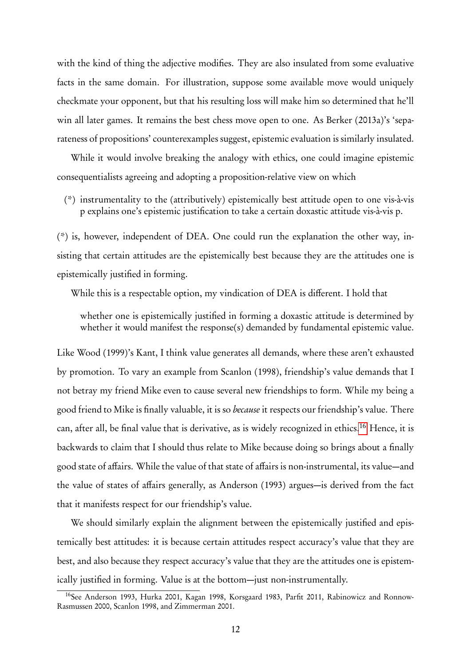with the kind of thing the adjective modifies. They are also insulated from some evaluative facts in the same domain. For illustration, suppose some available move would uniquely checkmate your opponent, but that his resulting loss will make him so determined that he'll win all later games. It remains the best chess move open to one. As Berker (2013a)'s 'separateness of propositions' counterexamples suggest, epistemic evaluation is similarly insulated.

While it would involve breaking the analogy with ethics, one could imagine epistemic consequentialists agreeing and adopting a proposition-relative view on which

(\*) instrumentality to the (attributively) epistemically best attitude open to one vis-à-vis p explains one's epistemic justification to take a certain doxastic attitude vis-à-vis p.

(\*) is, however, independent of DEA. One could run the explanation the other way, insisting that certain attitudes are the epistemically best because they are the attitudes one is epistemically justified in forming.

While this is a respectable option, my vindication of DEA is different. I hold that

whether one is epistemically justified in forming a doxastic attitude is determined by whether it would manifest the response(s) demanded by fundamental epistemic value.

Like Wood (1999)'s Kant, I think value generates all demands, where these aren't exhausted by promotion. To vary an example from Scanlon (1998), friendship's value demands that I not betray my friend Mike even to cause several new friendships to form. While my being a good friend to Mike is finally valuable, it is so *because* it respects our friendship's value. There can, after all, be final value that is derivative, as is widely recognized in ethics.[16](#page-0-0) Hence, it is backwards to claim that I should thus relate to Mike because doing so brings about a finally good state of affairs. While the value of that state of affairs is non-instrumental, its value—and the value of states of affairs generally, as Anderson (1993) argues—is derived from the fact that it manifests respect for our friendship's value.

We should similarly explain the alignment between the epistemically justified and epistemically best attitudes: it is because certain attitudes respect accuracy's value that they are best, and also because they respect accuracy's value that they are the attitudes one is epistemically justified in forming. Value is at the bottom—just non-instrumentally.

<sup>&</sup>lt;sup>16</sup>See Anderson 1993, Hurka 2001, Kagan 1998, Korsgaard 1983, Parfit 2011, Rabinowicz and Ronnow-Rasmussen 2000, Scanlon 1998, and Zimmerman 2001.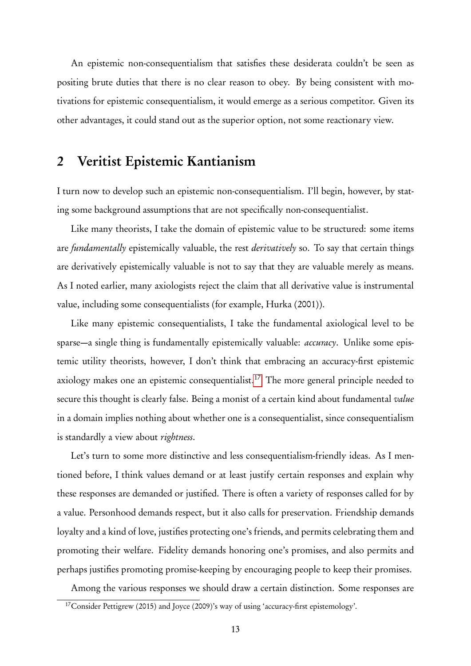An epistemic non-consequentialism that satisfies these desiderata couldn't be seen as positing brute duties that there is no clear reason to obey. By being consistent with motivations for epistemic consequentialism, it would emerge as a serious competitor. Given its other advantages, it could stand out as the superior option, not some reactionary view.

## 2 Veritist Epistemic Kantianism

I turn now to develop such an epistemic non-consequentialism. I'll begin, however, by stating some background assumptions that are not specifically non-consequentialist.

Like many theorists, I take the domain of epistemic value to be structured: some items are *fundamentally* epistemically valuable, the rest *derivatively* so. To say that certain things are derivatively epistemically valuable is not to say that they are valuable merely as means. As I noted earlier, many axiologists reject the claim that all derivative value is instrumental value, including some consequentialists ( for example, Hurka (2001)).

Like many epistemic consequentialists, I take the fundamental axiological level to be sparse—a single thing is fundamentally epistemically valuable: *accuracy*. Unlike some epistemic utility theorists, however, I don't think that embracing an accuracy-first epistemic axiology makes one an epistemic consequentialist.<sup>[17](#page-0-0)</sup> The more general principle needed to secure this thought is clearly false. Being a monist of a certain kind about fundamental value in a domain implies nothing about whether one is a consequentialist, since consequentialism is standardly a view about rightness.

Let's turn to some more distinctive and less consequentialism-friendly ideas. As I mentioned before, I think values demand or at least justify certain responses and explain why these responses are demanded or justified. There is often a variety of responses called for by a value. Personhood demands respect, but it also calls for preservation. Friendship demands loyalty and a kind of love, justifies protecting one's friends, and permits celebrating them and promoting their welfare. Fidelity demands honoring one's promises, and also permits and perhaps justifies promoting promise-keeping by encouraging people to keep their promises.

Among the various responses we should draw a certain distinction. Some responses are

<sup>&</sup>lt;sup>17</sup>Consider Pettigrew (2015) and Joyce (2009)'s way of using 'accuracy-first epistemology'.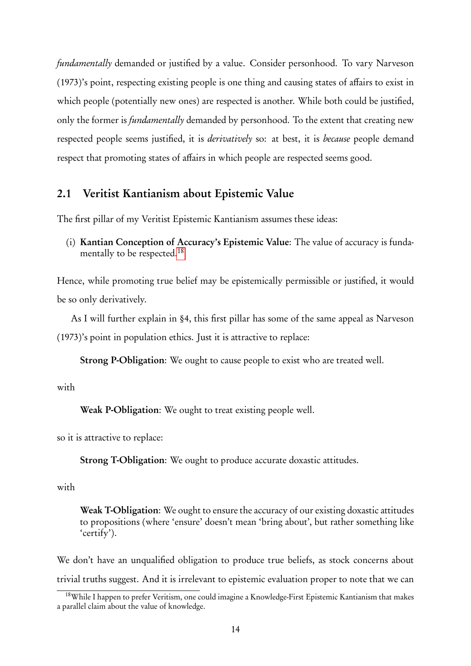fundamentally demanded or justified by a value. Consider personhood. To vary Narveson (1973)'s point, respecting existing people is one thing and causing states of affairs to exist in which people (potentially new ones) are respected is another. While both could be justified, only the former is *fundamentally* demanded by personhood. To the extent that creating new respected people seems justified, it is *derivatively* so: at best, it is *because* people demand respect that promoting states of affairs in which people are respected seems good.

### 2.1 Veritist Kantianism about Epistemic Value

The first pillar of my Veritist Epistemic Kantianism assumes these ideas:

(i) Kantian Conception of Accuracy's Epistemic Value: The value of accuracy is funda-mentally to be respected.<sup>[18](#page-0-0)</sup>

Hence, while promoting true belief may be epistemically permissible or justified, it would be so only derivatively.

As I will further explain in §4, this first pillar has some of the same appeal as Narveson (1973)'s point in population ethics. Just it is attractive to replace:

Strong P-Obligation: We ought to cause people to exist who are treated well.

with

Weak P-Obligation: We ought to treat existing people well.

so it is attractive to replace:

Strong T-Obligation: We ought to produce accurate doxastic attitudes.

#### with

Weak T-Obligation: We ought to ensure the accuracy of our existing doxastic attitudes to propositions (where 'ensure' doesn't mean 'bring about', but rather something like 'certify').

We don't have an unqualified obligation to produce true beliefs, as stock concerns about trivial truths suggest. And it is irrelevant to epistemic evaluation proper to note that we can

<sup>&</sup>lt;sup>18</sup>While I happen to prefer Veritism, one could imagine a Knowledge-First Epistemic Kantianism that makes a parallel claim about the value of knowledge.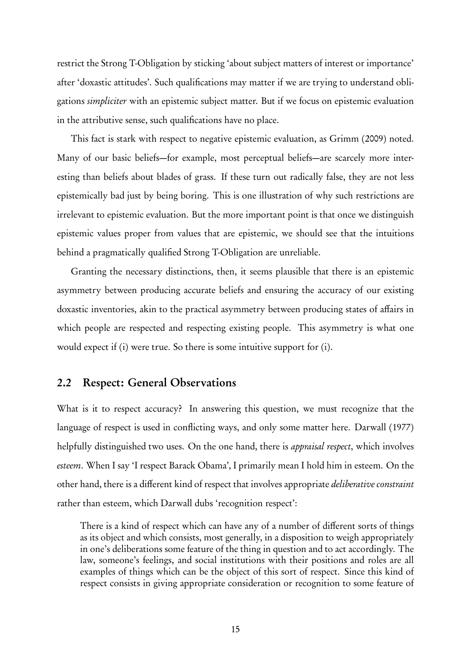restrict the Strong T-Obligation by sticking 'about subject matters of interest or importance' after 'doxastic attitudes'. Such qualifications may matter if we are trying to understand obligations simpliciter with an epistemic subject matter. But if we focus on epistemic evaluation in the attributive sense, such qualifications have no place.

This fact is stark with respect to negative epistemic evaluation, as Grimm (2009) noted. Many of our basic beliefs—for example, most perceptual beliefs—are scarcely more interesting than beliefs about blades of grass. If these turn out radically false, they are not less epistemically bad just by being boring. This is one illustration of why such restrictions are irrelevant to epistemic evaluation. But the more important point is that once we distinguish epistemic values proper from values that are epistemic, we should see that the intuitions behind a pragmatically qualified Strong T-Obligation are unreliable.

Granting the necessary distinctions, then, it seems plausible that there is an epistemic asymmetry between producing accurate beliefs and ensuring the accuracy of our existing doxastic inventories, akin to the practical asymmetry between producing states of affairs in which people are respected and respecting existing people. This asymmetry is what one would expect if (i) were true. So there is some intuitive support for (i).

### 2.2 Respect: General Observations

What is it to respect accuracy? In answering this question, we must recognize that the language of respect is used in conflicting ways, and only some matter here. Darwall (1977) helpfully distinguished two uses. On the one hand, there is *appraisal respect*, which involves esteem. When I say 'I respect Barack Obama', I primarily mean I hold him in esteem. On the other hand, there is a different kind of respect that involves appropriate deliberative constraint rather than esteem, which Darwall dubs 'recognition respect':

There is a kind of respect which can have any of a number of different sorts of things as its object and which consists, most generally, in a disposition to weigh appropriately in one's deliberations some feature of the thing in question and to act accordingly. The law, someone's feelings, and social institutions with their positions and roles are all examples of things which can be the object of this sort of respect. Since this kind of respect consists in giving appropriate consideration or recognition to some feature of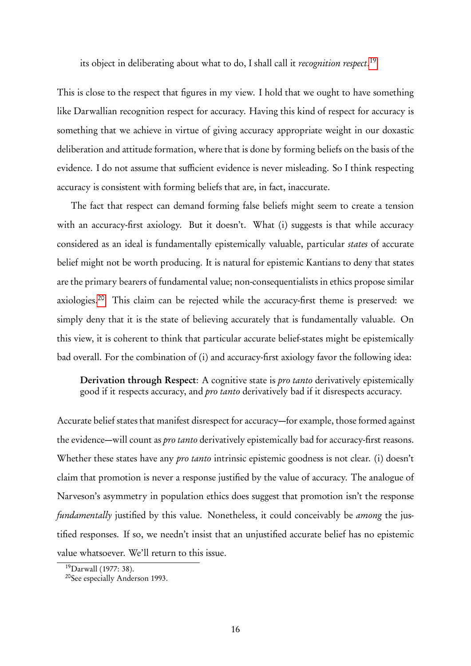its object in deliberating about what to do, I shall call it *recognition respect*.<sup>[19](#page-0-0)</sup>

This is close to the respect that figures in my view. I hold that we ought to have something like Darwallian recognition respect for accuracy. Having this kind of respect for accuracy is something that we achieve in virtue of giving accuracy appropriate weight in our doxastic deliberation and attitude formation, where that is done by forming beliefs on the basis of the evidence. I do not assume that sufficient evidence is never misleading. So I think respecting accuracy is consistent with forming beliefs that are, in fact, inaccurate.

The fact that respect can demand forming false beliefs might seem to create a tension with an accuracy-first axiology. But it doesn't. What (i) suggests is that while accuracy considered as an ideal is fundamentally epistemically valuable, particular states of accurate belief might not be worth producing. It is natural for epistemic Kantians to deny that states are the primary bearers of fundamental value; non-consequentialists in ethics propose similar axiologies.[20](#page-0-0) This claim can be rejected while the accuracy-first theme is preserved: we simply deny that it is the state of believing accurately that is fundamentally valuable. On this view, it is coherent to think that particular accurate belief-states might be epistemically bad overall. For the combination of (i) and accuracy-first axiology favor the following idea:

Derivation through Respect: A cognitive state is *pro tanto* derivatively epistemically good if it respects accuracy, and *pro tanto* derivatively bad if it disrespects accuracy.

Accurate belief states that manifest disrespect for accuracy—for example, those formed against the evidence—will count as pro tanto derivatively epistemically bad for accuracy-first reasons. Whether these states have any *pro tanto* intrinsic epistemic goodness is not clear. (i) doesn't claim that promotion is never a response justified by the value of accuracy. The analogue of Narveson's asymmetry in population ethics does suggest that promotion isn't the response fundamentally justified by this value. Nonetheless, it could conceivably be among the justified responses. If so, we needn't insist that an unjustified accurate belief has no epistemic value whatsoever. We'll return to this issue.

<sup>19</sup>Darwall (1977: 38).

<sup>20</sup>See especially Anderson 1993.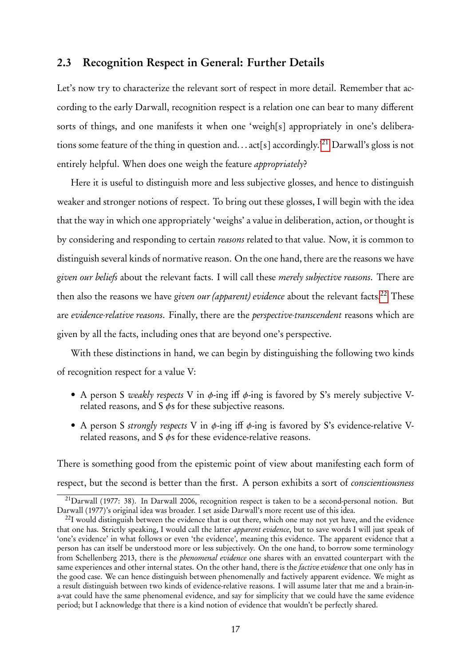### 2.3 Recognition Respect in General: Further Details

Let's now try to characterize the relevant sort of respect in more detail. Remember that according to the early Darwall, recognition respect is a relation one can bear to many different sorts of things, and one manifests it when one 'weigh[s] appropriately in one's deliberations some feature of the thing in question and. . . act[s] accordingly.'[21](#page-0-0) Darwall's gloss is not entirely helpful. When does one weigh the feature appropriately?

Here it is useful to distinguish more and less subjective glosses, and hence to distinguish weaker and stronger notions of respect. To bring out these glosses, I will begin with the idea that the way in which one appropriately 'weighs' a value in deliberation, action, or thought is by considering and responding to certain reasons related to that value. Now, it is common to distinguish several kinds of normative reason. On the one hand, there are the reasons we have given our beliefs about the relevant facts. I will call these merely subjective reasons. There are then also the reasons we have given our (apparent) evidence about the relevant facts.<sup>[22](#page-0-0)</sup> These are evidence-relative reasons. Finally, there are the perspective-transcendent reasons which are given by all the facts, including ones that are beyond one's perspective.

With these distinctions in hand, we can begin by distinguishing the following two kinds of recognition respect for a value V:

- A person S weakly respects V in  $\phi$ -ing iff  $\phi$ -ing is favored by S's merely subjective Vrelated reasons, and  $S \phi s$  for these subjective reasons.
- A person S strongly respects V in  $\phi$ -ing iff  $\phi$ -ing is favored by S's evidence-relative Vrelated reasons, and S φs for these evidence-relative reasons.

There is something good from the epistemic point of view about manifesting each form of respect, but the second is better than the first. A person exhibits a sort of conscientiousness

<sup>21</sup>Darwall (1977: 38). In Darwall 2006, recognition respect is taken to be a second-personal notion. But Darwall (1977)'s original idea was broader. I set aside Darwall's more recent use of this idea.

 $^{22}$ I would distinguish between the evidence that is out there, which one may not yet have, and the evidence that one has. Strictly speaking, I would call the latter apparent evidence, but to save words I will just speak of 'one's evidence' in what follows or even 'the evidence', meaning this evidence. The apparent evidence that a person has can itself be understood more or less subjectively. On the one hand, to borrow some terminology from Schellenberg 2013, there is the phenomenal evidence one shares with an envatted counterpart with the same experiences and other internal states. On the other hand, there is the *factive evidence* that one only has in the good case. We can hence distinguish between phenomenally and factively apparent evidence. We might as a result distinguish between two kinds of evidence-relative reasons. I will assume later that me and a brain-ina-vat could have the same phenomenal evidence, and say for simplicity that we could have the same evidence period; but I acknowledge that there is a kind notion of evidence that wouldn't be perfectly shared.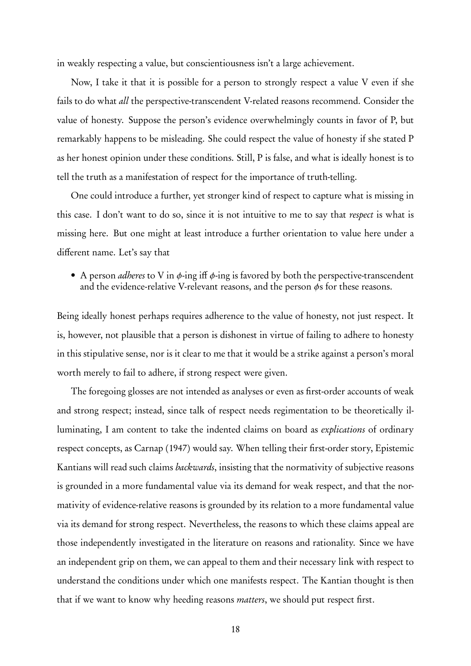in weakly respecting a value, but conscientiousness isn't a large achievement.

Now, I take it that it is possible for a person to strongly respect a value V even if she fails to do what all the perspective-transcendent V-related reasons recommend. Consider the value of honesty. Suppose the person's evidence overwhelmingly counts in favor of P, but remarkably happens to be misleading. She could respect the value of honesty if she stated P as her honest opinion under these conditions. Still, P is false, and what is ideally honest is to tell the truth as a manifestation of respect for the importance of truth-telling.

One could introduce a further, yet stronger kind of respect to capture what is missing in this case. I don't want to do so, since it is not intuitive to me to say that respect is what is missing here. But one might at least introduce a further orientation to value here under a different name. Let's say that

• A person *adheres* to V in  $\phi$ -ing iff  $\phi$ -ing is favored by both the perspective-transcendent and the evidence-relative V-relevant reasons, and the person  $\phi$ s for these reasons.

Being ideally honest perhaps requires adherence to the value of honesty, not just respect. It is, however, not plausible that a person is dishonest in virtue of failing to adhere to honesty in this stipulative sense, nor is it clear to me that it would be a strike against a person's moral worth merely to fail to adhere, if strong respect were given.

The foregoing glosses are not intended as analyses or even as first-order accounts of weak and strong respect; instead, since talk of respect needs regimentation to be theoretically illuminating, I am content to take the indented claims on board as explications of ordinary respect concepts, as Carnap (1947) would say. When telling their first-order story, Epistemic Kantians will read such claims *backwards*, insisting that the normativity of subjective reasons is grounded in a more fundamental value via its demand for weak respect, and that the normativity of evidence-relative reasons is grounded by its relation to a more fundamental value via its demand for strong respect. Nevertheless, the reasons to which these claims appeal are those independently investigated in the literature on reasons and rationality. Since we have an independent grip on them, we can appeal to them and their necessary link with respect to understand the conditions under which one manifests respect. The Kantian thought is then that if we want to know why heeding reasons *matters*, we should put respect first.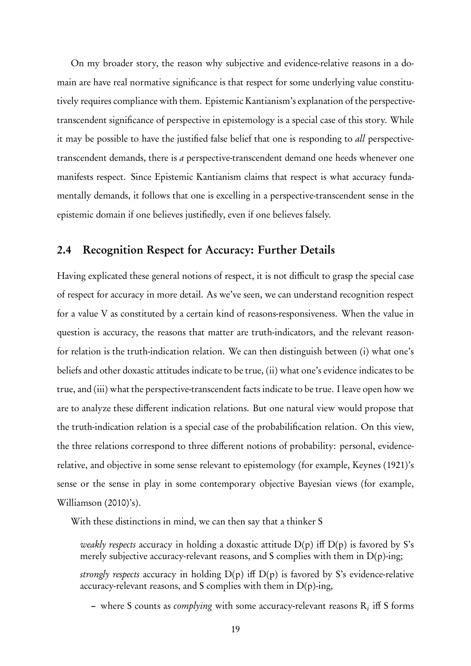On my broader story, the reason why subjective and evidence-relative reasons in a domain are have real normative significance is that respect for some underlying value constitutively requires compliance with them. Epistemic Kantianism's explanation of the perspectivetranscendent significance of perspective in epistemology is a special case of this story. While it may be possible to have the justified false belief that one is responding to all perspectivetranscendent demands, there is a perspective-transcendent demand one heeds whenever one manifests respect. Since Epistemic Kantianism claims that respect is what accuracy fundamentally demands, it follows that one is excelling in a perspective-transcendent sense in the epistemic domain if one believes justifiedly, even if one believes falsely.

### 2.4 Recognition Respect for Accuracy: Further Details

Having explicated these general notions of respect, it is not difficult to grasp the special case of respect for accuracy in more detail. As we've seen, we can understand recognition respect for a value V as constituted by a certain kind of reasons-responsiveness. When the value in question is accuracy, the reasons that matter are truth-indicators, and the relevant reasonfor relation is the truth-indication relation. We can then distinguish between (i) what one's beliefs and other doxastic attitudes indicate to be true, (ii) what one's evidence indicates to be true, and (iii) what the perspective-transcendent facts indicate to be true. I leave open how we are to analyze these different indication relations. But one natural view would propose that the truth-indication relation is a special case of the probabilification relation. On this view, the three relations correspond to three different notions of probability: personal, evidencerelative, and objective in some sense relevant to epistemology (for example, Keynes (1921)'s sense or the sense in play in some contemporary objective Bayesian views ( for example, Williamson (2010)'s).

With these distinctions in mind, we can then say that a thinker S

weakly respects accuracy in holding a doxastic attitude  $D(p)$  iff  $D(p)$  is favored by S's merely subjective accuracy-relevant reasons, and S complies with them in  $D(p)$ -ing; strongly respects accuracy in holding  $D(p)$  iff  $D(p)$  is favored by S's evidence-relative accuracy-relevant reasons, and S complies with them in  $D(p)$ -ing,

- where S counts as *complying* with some accuracy-relevant reasons  $R_i$  iff S forms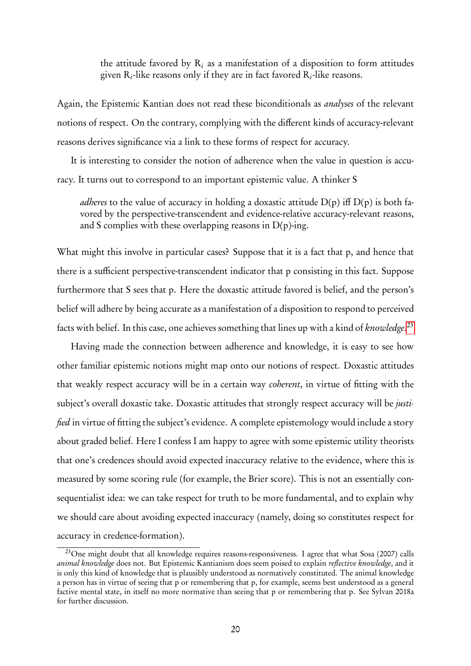the attitude favored by  $R_i$  as a manifestation of a disposition to form attitudes given  $\mathrm{R}_i$ -like reasons only if they are in fact favored  $\mathrm{R}_i$ -like reasons.

Again, the Epistemic Kantian does not read these biconditionals as analyses of the relevant notions of respect. On the contrary, complying with the different kinds of accuracy-relevant reasons derives significance via a link to these forms of respect for accuracy.

It is interesting to consider the notion of adherence when the value in question is accuracy. It turns out to correspond to an important epistemic value. A thinker S

*adheres* to the value of accuracy in holding a doxastic attitude  $D(p)$  iff  $D(p)$  is both favored by the perspective-transcendent and evidence-relative accuracy-relevant reasons, and S complies with these overlapping reasons in  $D(p)$ -ing.

What might this involve in particular cases? Suppose that it is a fact that p, and hence that there is a sufficient perspective-transcendent indicator that p consisting in this fact. Suppose furthermore that S sees that p. Here the doxastic attitude favored is belief, and the person's belief will adhere by being accurate as a manifestation of a disposition to respond to perceived facts with belief. In this case, one achieves something that lines up with a kind of *knowledge.<sup>[23](#page-0-0)</sup>* 

Having made the connection between adherence and knowledge, it is easy to see how other familiar epistemic notions might map onto our notions of respect. Doxastic attitudes that weakly respect accuracy will be in a certain way coherent, in virtue of fitting with the subject's overall doxastic take. Doxastic attitudes that strongly respect accuracy will be *justi*fied in virtue of fitting the subject's evidence. A complete epistemology would include a story about graded belief. Here I confess I am happy to agree with some epistemic utility theorists that one's credences should avoid expected inaccuracy relative to the evidence, where this is measured by some scoring rule (for example, the Brier score). This is not an essentially consequentialist idea: we can take respect for truth to be more fundamental, and to explain why we should care about avoiding expected inaccuracy (namely, doing so constitutes respect for accuracy in credence-formation).

<sup>&</sup>lt;sup>23</sup>One might doubt that all knowledge requires reasons-responsiveness. I agree that what Sosa (2007) calls animal knowledge does not. But Epistemic Kantianism does seem poised to explain reflective knowledge, and it is only this kind of knowledge that is plausibly understood as normatively constituted. The animal knowledge a person has in virtue of seeing that p or remembering that p, for example, seems best understood as a general factive mental state, in itself no more normative than seeing that p or remembering that p. See Sylvan 2018a for further discussion.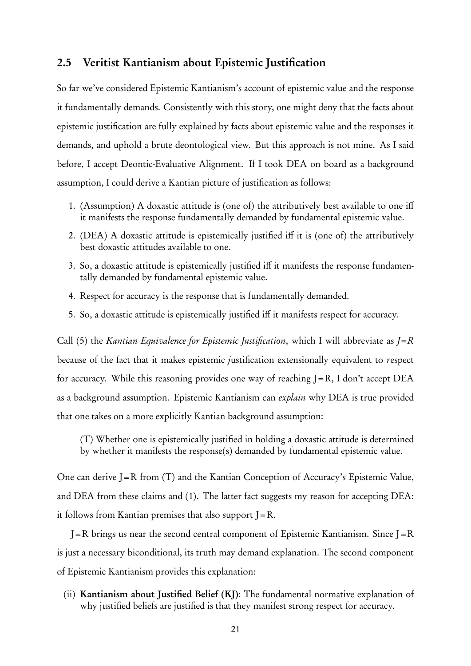### 2.5 Veritist Kantianism about Epistemic Justification

So far we've considered Epistemic Kantianism's account of epistemic value and the response it fundamentally demands. Consistently with this story, one might deny that the facts about epistemic justification are fully explained by facts about epistemic value and the responses it demands, and uphold a brute deontological view. But this approach is not mine. As I said before, I accept Deontic-Evaluative Alignment. If I took DEA on board as a background assumption, I could derive a Kantian picture of justification as follows:

- 1. (Assumption) A doxastic attitude is (one of) the attributively best available to one iff it manifests the response fundamentally demanded by fundamental epistemic value.
- 2. (DEA) A doxastic attitude is epistemically justified iff it is (one of) the attributively best doxastic attitudes available to one.
- 3. So, a doxastic attitude is epistemically justified iff it manifests the response fundamentally demanded by fundamental epistemic value.
- 4. Respect for accuracy is the response that is fundamentally demanded.
- 5. So, a doxastic attitude is epistemically justified iff it manifests respect for accuracy.

Call (5) the Kantian Equivalence for Epistemic Justification, which I will abbreviate as  $J=R$ because of the fact that it makes epistemic justification extensionally equivalent to respect for accuracy. While this reasoning provides one way of reaching  $J=R$ , I don't accept DEA as a background assumption. Epistemic Kantianism can explain why DEA is true provided that one takes on a more explicitly Kantian background assumption:

(T) Whether one is epistemically justified in holding a doxastic attitude is determined by whether it manifests the response(s) demanded by fundamental epistemic value.

One can derive J=R from (T) and the Kantian Conception of Accuracy's Epistemic Value, and DEA from these claims and (1). The latter fact suggests my reason for accepting DEA: it follows from Kantian premises that also support  $I=R$ .

 $J=R$  brings us near the second central component of Epistemic Kantianism. Since  $J=R$ is just a necessary biconditional, its truth may demand explanation. The second component of Epistemic Kantianism provides this explanation:

(ii) Kantianism about Justified Belief (KJ): The fundamental normative explanation of why justified beliefs are justified is that they manifest strong respect for accuracy.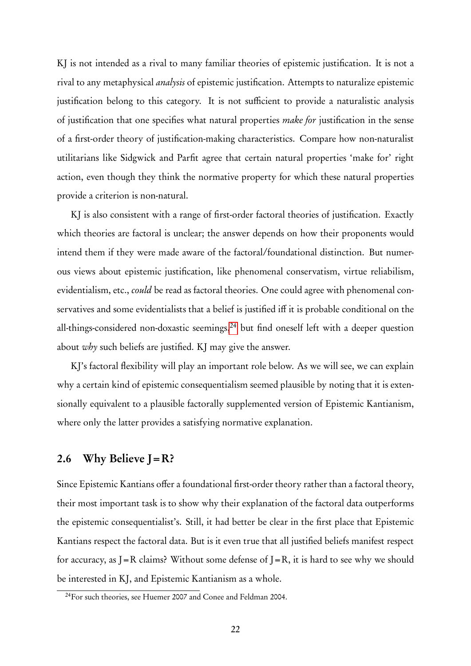KJ is not intended as a rival to many familiar theories of epistemic justification. It is not a rival to any metaphysical analysis of epistemic justification. Attempts to naturalize epistemic justification belong to this category. It is not sufficient to provide a naturalistic analysis of justification that one specifies what natural properties *make for* justification in the sense of a first-order theory of justification-making characteristics. Compare how non-naturalist utilitarians like Sidgwick and Parfit agree that certain natural properties 'make for' right action, even though they think the normative property for which these natural properties provide a criterion is non-natural.

KJ is also consistent with a range of first-order factoral theories of justification. Exactly which theories are factoral is unclear; the answer depends on how their proponents would intend them if they were made aware of the factoral/foundational distinction. But numerous views about epistemic justification, like phenomenal conservatism, virtue reliabilism, evidentialism, etc., could be read as factoral theories. One could agree with phenomenal conservatives and some evidentialists that a belief is justified iff it is probable conditional on the all-things-considered non-doxastic seemings,<sup>[24](#page-0-0)</sup> but find oneself left with a deeper question about why such beliefs are justified. KJ may give the answer.

KJ's factoral flexibility will play an important role below. As we will see, we can explain why a certain kind of epistemic consequentialism seemed plausible by noting that it is extensionally equivalent to a plausible factorally supplemented version of Epistemic Kantianism, where only the latter provides a satisfying normative explanation.

### 2.6 Why Believe  $J=R$ ?

Since Epistemic Kantians offer a foundational first-order theory rather than a factoral theory, their most important task is to show why their explanation of the factoral data outperforms the epistemic consequentialist's. Still, it had better be clear in the first place that Epistemic Kantians respect the factoral data. But is it even true that all justified beliefs manifest respect for accuracy, as  $I = R$  claims? Without some defense of  $I = R$ , it is hard to see why we should be interested in KJ, and Epistemic Kantianism as a whole.

<sup>&</sup>lt;sup>24</sup>For such theories, see Huemer 2007 and Conee and Feldman 2004.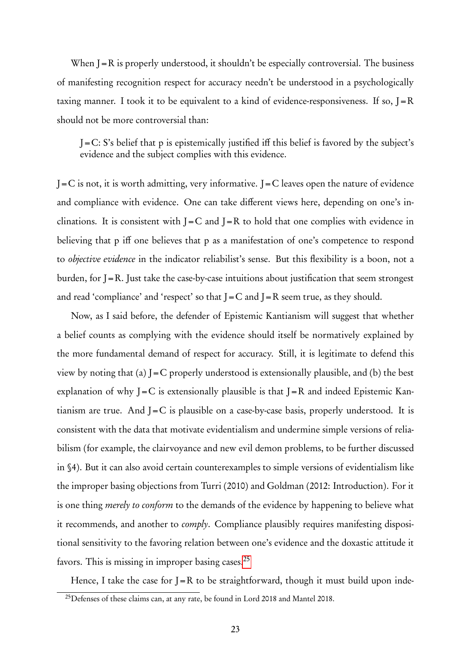When  $J=R$  is properly understood, it shouldn't be especially controversial. The business of manifesting recognition respect for accuracy needn't be understood in a psychologically taxing manner. I took it to be equivalent to a kind of evidence-responsiveness. If so,  $I = R$ should not be more controversial than:

 $J=C: S's$  belief that p is epistemically justified iff this belief is favored by the subject's evidence and the subject complies with this evidence.

 $J=C$  is not, it is worth admitting, very informative. J=C leaves open the nature of evidence and compliance with evidence. One can take different views here, depending on one's inclinations. It is consistent with  $I = C$  and  $I = R$  to hold that one complies with evidence in believing that p iff one believes that p as a manifestation of one's competence to respond to objective evidence in the indicator reliabilist's sense. But this flexibility is a boon, not a burden, for J=R. Just take the case-by-case intuitions about justification that seem strongest and read 'compliance' and 'respect' so that  $J = C$  and  $J = R$  seem true, as they should.

Now, as I said before, the defender of Epistemic Kantianism will suggest that whether a belief counts as complying with the evidence should itself be normatively explained by the more fundamental demand of respect for accuracy. Still, it is legitimate to defend this view by noting that (a)  $J = C$  properly understood is extensionally plausible, and (b) the best explanation of why  $J=C$  is extensionally plausible is that  $J=R$  and indeed Epistemic Kantianism are true. And  $J=C$  is plausible on a case-by-case basis, properly understood. It is consistent with the data that motivate evidentialism and undermine simple versions of reliabilism ( for example, the clairvoyance and new evil demon problems, to be further discussed in §4). But it can also avoid certain counterexamples to simple versions of evidentialism like the improper basing objections from Turri (2010) and Goldman (2012: Introduction). For it is one thing *merely to conform* to the demands of the evidence by happening to believe what it recommends, and another to comply. Compliance plausibly requires manifesting dispositional sensitivity to the favoring relation between one's evidence and the doxastic attitude it favors. This is missing in improper basing cases.<sup>[25](#page-0-0)</sup>

Hence, I take the case for  $J=R$  to be straightforward, though it must build upon inde-

<sup>&</sup>lt;sup>25</sup>Defenses of these claims can, at any rate, be found in Lord 2018 and Mantel 2018.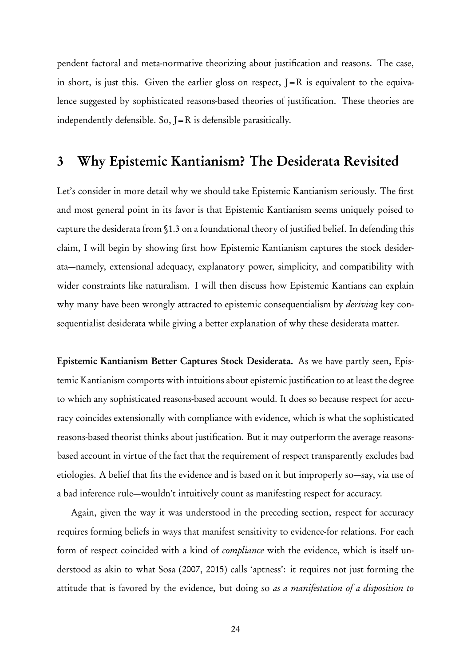pendent factoral and meta-normative theorizing about justification and reasons. The case, in short, is just this. Given the earlier gloss on respect,  $I = R$  is equivalent to the equivalence suggested by sophisticated reasons-based theories of justification. These theories are independently defensible. So,  $J=R$  is defensible parasitically.

## 3 Why Epistemic Kantianism? The Desiderata Revisited

Let's consider in more detail why we should take Epistemic Kantianism seriously. The first and most general point in its favor is that Epistemic Kantianism seems uniquely poised to capture the desiderata from §1.3 on a foundational theory of justified belief. In defending this claim, I will begin by showing first how Epistemic Kantianism captures the stock desiderata—namely, extensional adequacy, explanatory power, simplicity, and compatibility with wider constraints like naturalism. I will then discuss how Epistemic Kantians can explain why many have been wrongly attracted to epistemic consequentialism by *deriving* key consequentialist desiderata while giving a better explanation of why these desiderata matter.

Epistemic Kantianism Better Captures Stock Desiderata. As we have partly seen, Epistemic Kantianism comports with intuitions about epistemic justification to at least the degree to which any sophisticated reasons-based account would. It does so because respect for accuracy coincides extensionally with compliance with evidence, which is what the sophisticated reasons-based theorist thinks about justification. But it may outperform the average reasonsbased account in virtue of the fact that the requirement of respect transparently excludes bad etiologies. A belief that fits the evidence and is based on it but improperly so—say, via use of a bad inference rule—wouldn't intuitively count as manifesting respect for accuracy.

Again, given the way it was understood in the preceding section, respect for accuracy requires forming beliefs in ways that manifest sensitivity to evidence-for relations. For each form of respect coincided with a kind of compliance with the evidence, which is itself understood as akin to what Sosa (2007, 2015) calls 'aptness': it requires not just forming the attitude that is favored by the evidence, but doing so as a manifestation of a disposition to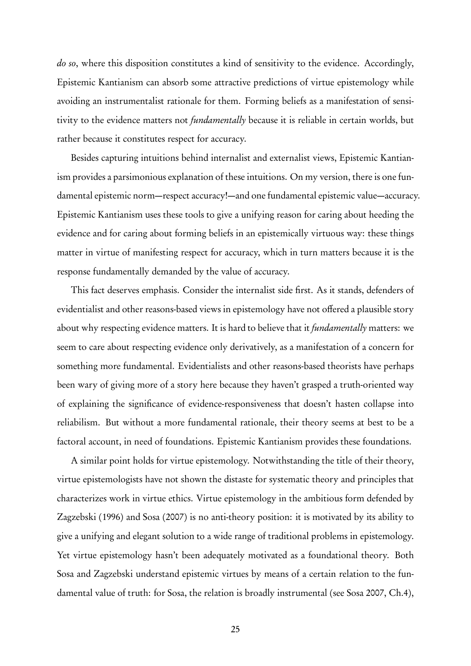do so, where this disposition constitutes a kind of sensitivity to the evidence. Accordingly, Epistemic Kantianism can absorb some attractive predictions of virtue epistemology while avoiding an instrumentalist rationale for them. Forming beliefs as a manifestation of sensitivity to the evidence matters not *fundamentally* because it is reliable in certain worlds, but rather because it constitutes respect for accuracy.

Besides capturing intuitions behind internalist and externalist views, Epistemic Kantianism provides a parsimonious explanation of these intuitions. On my version, there is one fundamental epistemic norm—respect accuracy!—and one fundamental epistemic value—accuracy. Epistemic Kantianism uses these tools to give a unifying reason for caring about heeding the evidence and for caring about forming beliefs in an epistemically virtuous way: these things matter in virtue of manifesting respect for accuracy, which in turn matters because it is the response fundamentally demanded by the value of accuracy.

This fact deserves emphasis. Consider the internalist side first. As it stands, defenders of evidentialist and other reasons-based views in epistemology have not offered a plausible story about why respecting evidence matters. It is hard to believe that it *fundamentally* matters: we seem to care about respecting evidence only derivatively, as a manifestation of a concern for something more fundamental. Evidentialists and other reasons-based theorists have perhaps been wary of giving more of a story here because they haven't grasped a truth-oriented way of explaining the significance of evidence-responsiveness that doesn't hasten collapse into reliabilism. But without a more fundamental rationale, their theory seems at best to be a factoral account, in need of foundations. Epistemic Kantianism provides these foundations.

A similar point holds for virtue epistemology. Notwithstanding the title of their theory, virtue epistemologists have not shown the distaste for systematic theory and principles that characterizes work in virtue ethics. Virtue epistemology in the ambitious form defended by Zagzebski (1996) and Sosa (2007) is no anti-theory position: it is motivated by its ability to give a unifying and elegant solution to a wide range of traditional problems in epistemology. Yet virtue epistemology hasn't been adequately motivated as a foundational theory. Both Sosa and Zagzebski understand epistemic virtues by means of a certain relation to the fundamental value of truth: for Sosa, the relation is broadly instrumental (see Sosa 2007, Ch.4),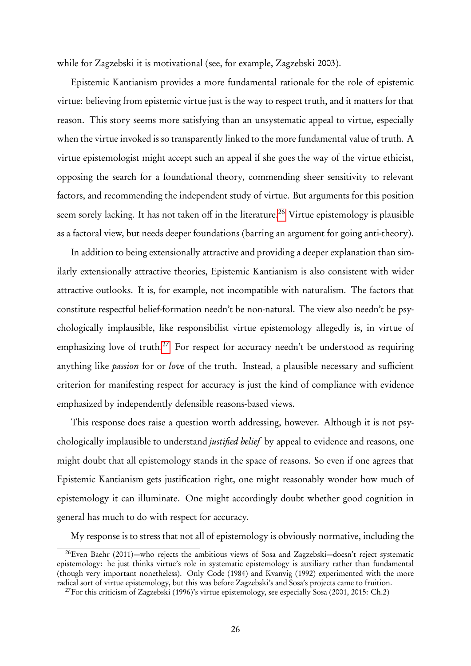while for Zagzebski it is motivational (see, for example, Zagzebski 2003).

Epistemic Kantianism provides a more fundamental rationale for the role of epistemic virtue: believing from epistemic virtue just is the way to respect truth, and it matters for that reason. This story seems more satisfying than an unsystematic appeal to virtue, especially when the virtue invoked is so transparently linked to the more fundamental value of truth. A virtue epistemologist might accept such an appeal if she goes the way of the virtue ethicist, opposing the search for a foundational theory, commending sheer sensitivity to relevant factors, and recommending the independent study of virtue. But arguments for this position seem sorely lacking. It has not taken off in the literature.<sup>[26](#page-0-0)</sup> Virtue epistemology is plausible as a factoral view, but needs deeper foundations (barring an argument for going anti-theory).

In addition to being extensionally attractive and providing a deeper explanation than similarly extensionally attractive theories, Epistemic Kantianism is also consistent with wider attractive outlooks. It is, for example, not incompatible with naturalism. The factors that constitute respectful belief-formation needn't be non-natural. The view also needn't be psychologically implausible, like responsibilist virtue epistemology allegedly is, in virtue of emphasizing love of truth.<sup>[27](#page-0-0)</sup> For respect for accuracy needn't be understood as requiring anything like *passion* for or love of the truth. Instead, a plausible necessary and sufficient criterion for manifesting respect for accuracy is just the kind of compliance with evidence emphasized by independently defensible reasons-based views.

This response does raise a question worth addressing, however. Although it is not psychologically implausible to understand *justified belief* by appeal to evidence and reasons, one might doubt that all epistemology stands in the space of reasons. So even if one agrees that Epistemic Kantianism gets justification right, one might reasonably wonder how much of epistemology it can illuminate. One might accordingly doubt whether good cognition in general has much to do with respect for accuracy.

My response is to stress that not all of epistemology is obviously normative, including the

<sup>&</sup>lt;sup>26</sup>Even Baehr (2011)—who rejects the ambitious views of Sosa and Zagzebski—doesn't reject systematic epistemology: he just thinks virtue's role in systematic epistemology is auxiliary rather than fundamental ( though very important nonetheless). Only Code (1984) and Kvanvig (1992) experimented with the more radical sort of virtue epistemology, but this was before Zagzebski's and Sosa's projects came to fruition.

 $^{27}$ For this criticism of Zagzebski (1996)'s virtue epistemology, see especially Sosa (2001, 2015: Ch.2)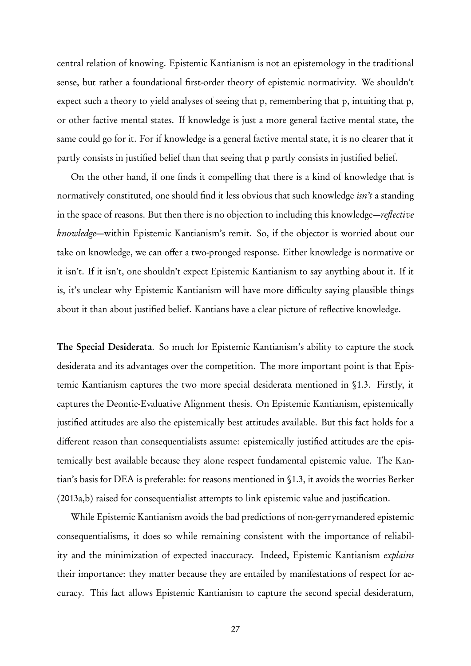central relation of knowing. Epistemic Kantianism is not an epistemology in the traditional sense, but rather a foundational first-order theory of epistemic normativity. We shouldn't expect such a theory to yield analyses of seeing that p, remembering that p, intuiting that p, or other factive mental states. If knowledge is just a more general factive mental state, the same could go for it. For if knowledge is a general factive mental state, it is no clearer that it partly consists in justified belief than that seeing that p partly consists in justified belief.

On the other hand, if one finds it compelling that there is a kind of knowledge that is normatively constituted, one should find it less obvious that such knowledge *isn't* a standing in the space of reasons. But then there is no objection to including this knowledge—reflective knowledge—within Epistemic Kantianism's remit. So, if the objector is worried about our take on knowledge, we can offer a two-pronged response. Either knowledge is normative or it isn't. If it isn't, one shouldn't expect Epistemic Kantianism to say anything about it. If it is, it's unclear why Epistemic Kantianism will have more difficulty saying plausible things about it than about justified belief. Kantians have a clear picture of reflective knowledge.

The Special Desiderata. So much for Epistemic Kantianism's ability to capture the stock desiderata and its advantages over the competition. The more important point is that Epistemic Kantianism captures the two more special desiderata mentioned in §1.3. Firstly, it captures the Deontic-Evaluative Alignment thesis. On Epistemic Kantianism, epistemically justified attitudes are also the epistemically best attitudes available. But this fact holds for a different reason than consequentialists assume: epistemically justified attitudes are the epistemically best available because they alone respect fundamental epistemic value. The Kantian's basis for DEA is preferable: for reasons mentioned in §1.3, it avoids the worries Berker (2013a,b) raised for consequentialist attempts to link epistemic value and justification.

While Epistemic Kantianism avoids the bad predictions of non-gerrymandered epistemic consequentialisms, it does so while remaining consistent with the importance of reliability and the minimization of expected inaccuracy. Indeed, Epistemic Kantianism explains their importance: they matter because they are entailed by manifestations of respect for accuracy. This fact allows Epistemic Kantianism to capture the second special desideratum,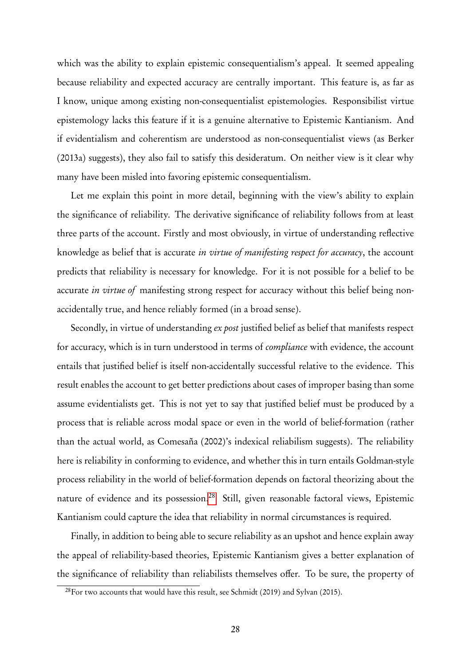which was the ability to explain epistemic consequentialism's appeal. It seemed appealing because reliability and expected accuracy are centrally important. This feature is, as far as I know, unique among existing non-consequentialist epistemologies. Responsibilist virtue epistemology lacks this feature if it is a genuine alternative to Epistemic Kantianism. And if evidentialism and coherentism are understood as non-consequentialist views (as Berker (2013a) suggests), they also fail to satisfy this desideratum. On neither view is it clear why many have been misled into favoring epistemic consequentialism.

Let me explain this point in more detail, beginning with the view's ability to explain the significance of reliability. The derivative significance of reliability follows from at least three parts of the account. Firstly and most obviously, in virtue of understanding reflective knowledge as belief that is accurate in virtue of manifesting respect for accuracy, the account predicts that reliability is necessary for knowledge. For it is not possible for a belief to be accurate *in virtue of* manifesting strong respect for accuracy without this belief being nonaccidentally true, and hence reliably formed (in a broad sense).

Secondly, in virtue of understanding *ex post* justified belief as belief that manifests respect for accuracy, which is in turn understood in terms of compliance with evidence, the account entails that justified belief is itself non-accidentally successful relative to the evidence. This result enables the account to get better predictions about cases of improper basing than some assume evidentialists get. This is not yet to say that justified belief must be produced by a process that is reliable across modal space or even in the world of belief-formation (rather than the actual world, as Comesaña (2002)'s indexical reliabilism suggests). The reliability here is reliability in conforming to evidence, and whether this in turn entails Goldman-style process reliability in the world of belief-formation depends on factoral theorizing about the nature of evidence and its possession.<sup>[28](#page-0-0)</sup> Still, given reasonable factoral views, Epistemic Kantianism could capture the idea that reliability in normal circumstances is required.

Finally, in addition to being able to secure reliability as an upshot and hence explain away the appeal of reliability-based theories, Epistemic Kantianism gives a better explanation of the significance of reliability than reliabilists themselves offer. To be sure, the property of

<sup>&</sup>lt;sup>28</sup>For two accounts that would have this result, see Schmidt (2019) and Sylvan (2015).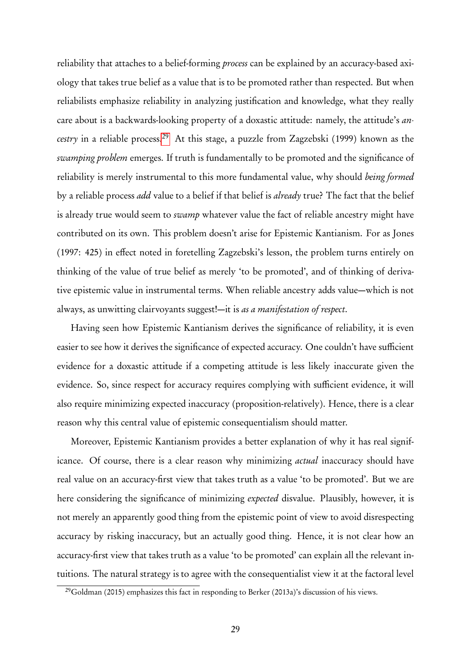reliability that attaches to a belief-forming process can be explained by an accuracy-based axiology that takes true belief as a value that is to be promoted rather than respected. But when reliabilists emphasize reliability in analyzing justification and knowledge, what they really care about is a backwards-looking property of a doxastic attitude: namely, the attitude's an-cestry in a reliable process.<sup>[29](#page-0-0)</sup> At this stage, a puzzle from Zagzebski (1999) known as the swamping problem emerges. If truth is fundamentally to be promoted and the significance of reliability is merely instrumental to this more fundamental value, why should being formed by a reliable process *add* value to a belief if that belief is *already* true? The fact that the belief is already true would seem to *swamp* whatever value the fact of reliable ancestry might have contributed on its own. This problem doesn't arise for Epistemic Kantianism. For as Jones (1997: 425) in effect noted in foretelling Zagzebski's lesson, the problem turns entirely on thinking of the value of true belief as merely 'to be promoted', and of thinking of derivative epistemic value in instrumental terms. When reliable ancestry adds value—which is not always, as unwitting clairvoyants suggest!—it is as a manifestation of respect.

Having seen how Epistemic Kantianism derives the significance of reliability, it is even easier to see how it derives the significance of expected accuracy. One couldn't have sufficient evidence for a doxastic attitude if a competing attitude is less likely inaccurate given the evidence. So, since respect for accuracy requires complying with sufficient evidence, it will also require minimizing expected inaccuracy (proposition-relatively). Hence, there is a clear reason why this central value of epistemic consequentialism should matter.

Moreover, Epistemic Kantianism provides a better explanation of why it has real significance. Of course, there is a clear reason why minimizing *actual* inaccuracy should have real value on an accuracy-first view that takes truth as a value 'to be promoted'. But we are here considering the significance of minimizing expected disvalue. Plausibly, however, it is not merely an apparently good thing from the epistemic point of view to avoid disrespecting accuracy by risking inaccuracy, but an actually good thing. Hence, it is not clear how an accuracy-first view that takes truth as a value 'to be promoted' can explain all the relevant intuitions. The natural strategy is to agree with the consequentialist view it at the factoral level

<sup>&</sup>lt;sup>29</sup>Goldman (2015) emphasizes this fact in responding to Berker (2013a)'s discussion of his views.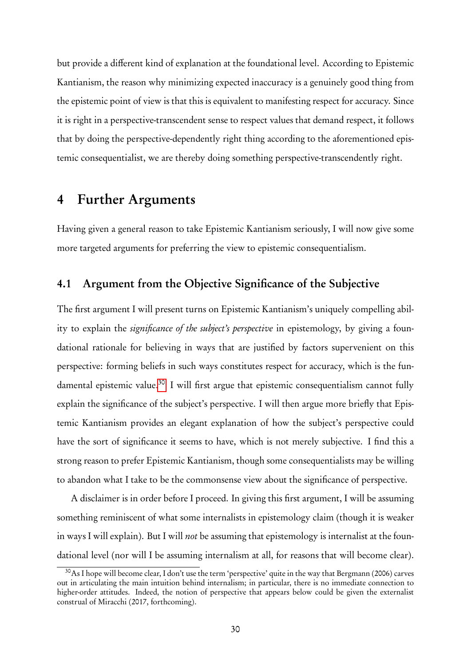but provide a different kind of explanation at the foundational level. According to Epistemic Kantianism, the reason why minimizing expected inaccuracy is a genuinely good thing from the epistemic point of view is that this is equivalent to manifesting respect for accuracy. Since it is right in a perspective-transcendent sense to respect values that demand respect, it follows that by doing the perspective-dependently right thing according to the aforementioned epistemic consequentialist, we are thereby doing something perspective-transcendently right.

### 4 Further Arguments

Having given a general reason to take Epistemic Kantianism seriously, I will now give some more targeted arguments for preferring the view to epistemic consequentialism.

### 4.1 Argument from the Objective Significance of the Subjective

The first argument I will present turns on Epistemic Kantianism's uniquely compelling ability to explain the *significance of the subject's perspective* in epistemology, by giving a foundational rationale for believing in ways that are justified by factors supervenient on this perspective: forming beliefs in such ways constitutes respect for accuracy, which is the fun-damental epistemic value.<sup>[30](#page-0-0)</sup> I will first argue that epistemic consequentialism cannot fully explain the significance of the subject's perspective. I will then argue more briefly that Epistemic Kantianism provides an elegant explanation of how the subject's perspective could have the sort of significance it seems to have, which is not merely subjective. I find this a strong reason to prefer Epistemic Kantianism, though some consequentialists may be willing to abandon what I take to be the commonsense view about the significance of perspective.

A disclaimer is in order before I proceed. In giving this first argument, I will be assuming something reminiscent of what some internalists in epistemology claim ( though it is weaker in ways I will explain). But I will *not* be assuming that epistemology is internalist at the foundational level (nor will I be assuming internalism at all, for reasons that will become clear).

<sup>30</sup>As I hope will become clear, I don't use the term 'perspective' quite in the way that Bergmann (2006) carves out in articulating the main intuition behind internalism; in particular, there is no immediate connection to higher-order attitudes. Indeed, the notion of perspective that appears below could be given the externalist construal of Miracchi (2017, forthcoming).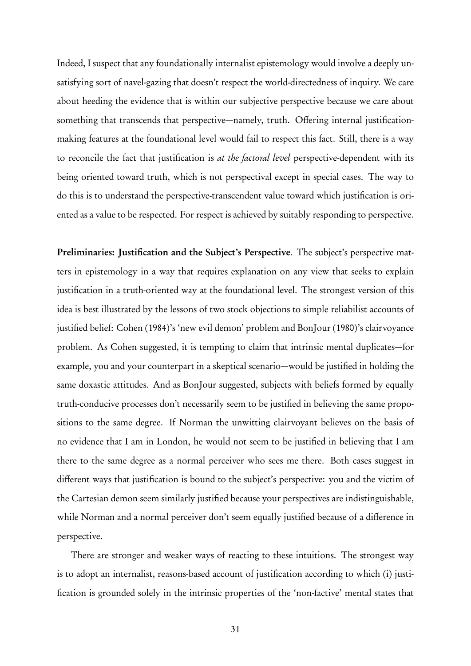Indeed, I suspect that any foundationally internalist epistemology would involve a deeply unsatisfying sort of navel-gazing that doesn't respect the world-directedness of inquiry. We care about heeding the evidence that is within our subjective perspective because we care about something that transcends that perspective—namely, truth. Offering internal justificationmaking features at the foundational level would fail to respect this fact. Still, there is a way to reconcile the fact that justification is at the factoral level perspective-dependent with its being oriented toward truth, which is not perspectival except in special cases. The way to do this is to understand the perspective-transcendent value toward which justification is oriented as a value to be respected. For respect is achieved by suitably responding to perspective.

Preliminaries: Justification and the Subject's Perspective. The subject's perspective matters in epistemology in a way that requires explanation on any view that seeks to explain justification in a truth-oriented way at the foundational level. The strongest version of this idea is best illustrated by the lessons of two stock objections to simple reliabilist accounts of justified belief: Cohen (1984)'s 'new evil demon' problem and BonJour (1980)'s clairvoyance problem. As Cohen suggested, it is tempting to claim that intrinsic mental duplicates—for example, you and your counterpart in a skeptical scenario—would be justified in holding the same doxastic attitudes. And as BonJour suggested, subjects with beliefs formed by equally truth-conducive processes don't necessarily seem to be justified in believing the same propositions to the same degree. If Norman the unwitting clairvoyant believes on the basis of no evidence that I am in London, he would not seem to be justified in believing that I am there to the same degree as a normal perceiver who sees me there. Both cases suggest in different ways that justification is bound to the subject's perspective: you and the victim of the Cartesian demon seem similarly justified because your perspectives are indistinguishable, while Norman and a normal perceiver don't seem equally justified because of a difference in perspective.

There are stronger and weaker ways of reacting to these intuitions. The strongest way is to adopt an internalist, reasons-based account of justification according to which (i) justification is grounded solely in the intrinsic properties of the 'non-factive' mental states that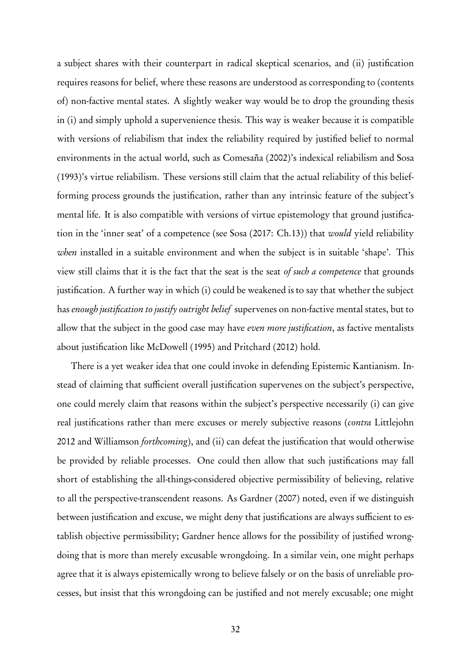a subject shares with their counterpart in radical skeptical scenarios, and (ii) justification requires reasons for belief, where these reasons are understood as corresponding to (contents of) non-factive mental states. A slightly weaker way would be to drop the grounding thesis in (i) and simply uphold a supervenience thesis. This way is weaker because it is compatible with versions of reliabilism that index the reliability required by justified belief to normal environments in the actual world, such as Comesaña (2002)'s indexical reliabilism and Sosa (1993)'s virtue reliabilism. These versions still claim that the actual reliability of this beliefforming process grounds the justification, rather than any intrinsic feature of the subject's mental life. It is also compatible with versions of virtue epistemology that ground justification in the 'inner seat' of a competence (see Sosa (2017: Ch.13)) that would yield reliability when installed in a suitable environment and when the subject is in suitable 'shape'. This view still claims that it is the fact that the seat is the seat of such a competence that grounds justification. A further way in which (i) could be weakened is to say that whether the subject has enough justification to justify outright belief supervenes on non-factive mental states, but to allow that the subject in the good case may have *even more justification*, as factive mentalists about justification like McDowell (1995) and Pritchard (2012) hold.

There is a yet weaker idea that one could invoke in defending Epistemic Kantianism. Instead of claiming that sufficient overall justification supervenes on the subject's perspective, one could merely claim that reasons within the subject's perspective necessarily (i) can give real justifications rather than mere excuses or merely subjective reasons (contra Littlejohn 2012 and Williamson *forthcoming*), and (ii) can defeat the justification that would otherwise be provided by reliable processes. One could then allow that such justifications may fall short of establishing the all-things-considered objective permissibility of believing, relative to all the perspective-transcendent reasons. As Gardner (2007) noted, even if we distinguish between justification and excuse, we might deny that justifications are always sufficient to establish objective permissibility; Gardner hence allows for the possibility of justified wrongdoing that is more than merely excusable wrongdoing. In a similar vein, one might perhaps agree that it is always epistemically wrong to believe falsely or on the basis of unreliable processes, but insist that this wrongdoing can be justified and not merely excusable; one might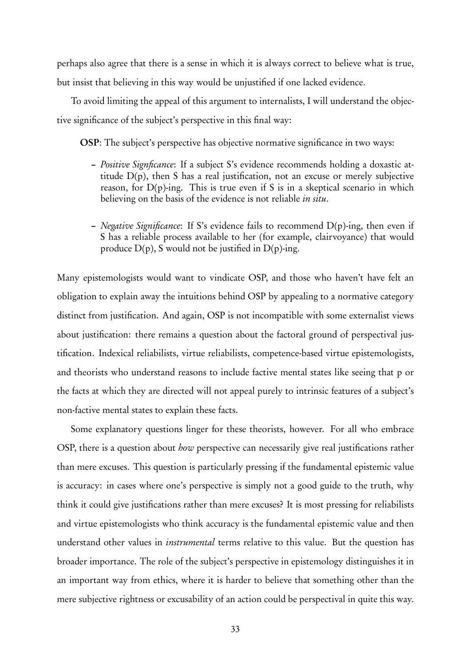perhaps also agree that there is a sense in which it is always correct to believe what is true, but insist that believing in this way would be unjustified if one lacked evidence.

To avoid limiting the appeal of this argument to internalists, I will understand the objective significance of the subject's perspective in this final way:

OSP: The subject's perspective has objective normative significance in two ways:

- Positive Signficance: If a subject S's evidence recommends holding a doxastic attitude D(p), then S has a real justification, not an excuse or merely subjective reason, for  $D(p)$ -ing. This is true even if S is in a skeptical scenario in which believing on the basis of the evidence is not reliable *in situ*.
- *Negative Significance*: If S's evidence fails to recommend  $D(p)$ -ing, then even if S has a reliable process available to her ( for example, clairvoyance) that would produce  $D(p)$ , S would not be justified in  $D(p)$ -ing.

Many epistemologists would want to vindicate OSP, and those who haven't have felt an obligation to explain away the intuitions behind OSP by appealing to a normative category distinct from justification. And again, OSP is not incompatible with some externalist views about justification: there remains a question about the factoral ground of perspectival justification. Indexical reliabilists, virtue reliabilists, competence-based virtue epistemologists, and theorists who understand reasons to include factive mental states like seeing that p or the facts at which they are directed will not appeal purely to intrinsic features of a subject's non-factive mental states to explain these facts.

Some explanatory questions linger for these theorists, however. For all who embrace OSP, there is a question about *how* perspective can necessarily give real justifications rather than mere excuses. This question is particularly pressing if the fundamental epistemic value is accuracy: in cases where one's perspective is simply not a good guide to the truth, why think it could give justifications rather than mere excuses? It is most pressing for reliabilists and virtue epistemologists who think accuracy is the fundamental epistemic value and then understand other values in instrumental terms relative to this value. But the question has broader importance. The role of the subject's perspective in epistemology distinguishes it in an important way from ethics, where it is harder to believe that something other than the mere subjective rightness or excusability of an action could be perspectival in quite this way.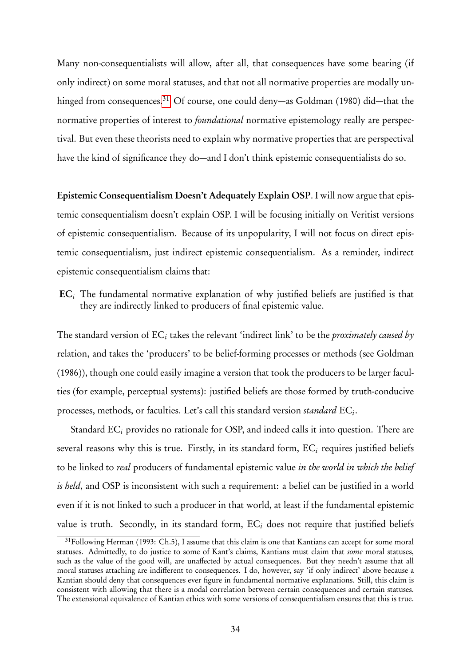Many non-consequentialists will allow, after all, that consequences have some bearing (if only indirect) on some moral statuses, and that not all normative properties are modally un-hinged from consequences.<sup>[31](#page-0-0)</sup> Of course, one could deny—as Goldman (1980) did—that the normative properties of interest to *foundational* normative epistemology really are perspectival. But even these theorists need to explain why normative properties that are perspectival have the kind of significance they do—and I don't think epistemic consequentialists do so.

Epistemic Consequentialism Doesn't Adequately Explain OSP. I will now argue that epistemic consequentialism doesn't explain OSP. I will be focusing initially on Veritist versions of epistemic consequentialism. Because of its unpopularity, I will not focus on direct epistemic consequentialism, just indirect epistemic consequentialism. As a reminder, indirect epistemic consequentialism claims that:

 $EC_i$  The fundamental normative explanation of why justified beliefs are justified is that they are indirectly linked to producers of final epistemic value.

The standard version of  $\mathrm{EC}_i$  takes the relevant 'indirect link' to be the *proximately caused by* relation, and takes the 'producers' to be belief-forming processes or methods (see Goldman (1986)), though one could easily imagine a version that took the producers to be larger faculties ( for example, perceptual systems): justified beliefs are those formed by truth-conducive processes, methods, or faculties. Let's call this standard version standard  $\mathrm{EC}_{i}$ .

Standard  $EC_i$  provides no rationale for OSP, and indeed calls it into question. There are several reasons why this is true. Firstly, in its standard form,  $EC<sub>i</sub>$  requires justified beliefs to be linked to *real* producers of fundamental epistemic value in the world in which the belief is held, and OSP is inconsistent with such a requirement: a belief can be justified in a world even if it is not linked to such a producer in that world, at least if the fundamental epistemic value is truth. Secondly, in its standard form,  $EC_i$  does not require that justified beliefs

<sup>&</sup>lt;sup>31</sup>Following Herman (1993: Ch.5), I assume that this claim is one that Kantians can accept for some moral statuses. Admittedly, to do justice to some of Kant's claims, Kantians must claim that some moral statuses, such as the value of the good will, are unaffected by actual consequences. But they needn't assume that all moral statuses attaching are indifferent to consequences. I do, however, say 'if only indirect' above because a Kantian should deny that consequences ever figure in fundamental normative explanations. Still, this claim is consistent with allowing that there is a modal correlation between certain consequences and certain statuses. The extensional equivalence of Kantian ethics with some versions of consequentialism ensures that this is true.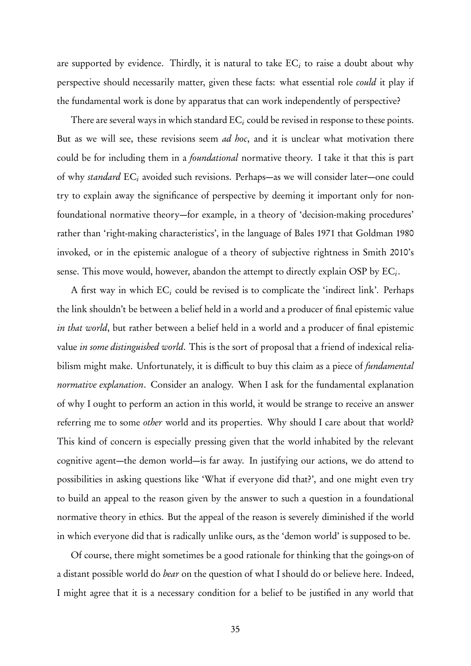are supported by evidence. Thirdly, it is natural to take  $\mathrm{EC}_i$  to raise a doubt about why perspective should necessarily matter, given these facts: what essential role could it play if the fundamental work is done by apparatus that can work independently of perspective?

There are several ways in which standard  $EC<sub>i</sub>$  could be revised in response to these points. But as we will see, these revisions seem *ad hoc*, and it is unclear what motivation there could be for including them in a *foundational* normative theory. I take it that this is part of why standard  $EC_i$  avoided such revisions. Perhaps—as we will consider later—one could try to explain away the significance of perspective by deeming it important only for nonfoundational normative theory—for example, in a theory of 'decision-making procedures' rather than 'right-making characteristics', in the language of Bales 1971 that Goldman 1980 invoked, or in the epistemic analogue of a theory of subjective rightness in Smith 2010's sense. This move would, however, abandon the attempt to directly explain OSP by  $\mathrm{EC}_{i}.$ 

A first way in which  $EC_i$  could be revised is to complicate the 'indirect link'. Perhaps the link shouldn't be between a belief held in a world and a producer of final epistemic value in that world, but rather between a belief held in a world and a producer of final epistemic value in some distinguished world. This is the sort of proposal that a friend of indexical reliabilism might make. Unfortunately, it is difficult to buy this claim as a piece of *fundamental* normative explanation. Consider an analogy. When I ask for the fundamental explanation of why I ought to perform an action in this world, it would be strange to receive an answer referring me to some *other* world and its properties. Why should I care about that world? This kind of concern is especially pressing given that the world inhabited by the relevant cognitive agent—the demon world—is far away. In justifying our actions, we do attend to possibilities in asking questions like 'What if everyone did that?', and one might even try to build an appeal to the reason given by the answer to such a question in a foundational normative theory in ethics. But the appeal of the reason is severely diminished if the world in which everyone did that is radically unlike ours, as the 'demon world' is supposed to be.

Of course, there might sometimes be a good rationale for thinking that the goings-on of a distant possible world do *bear* on the question of what I should do or believe here. Indeed, I might agree that it is a necessary condition for a belief to be justified in any world that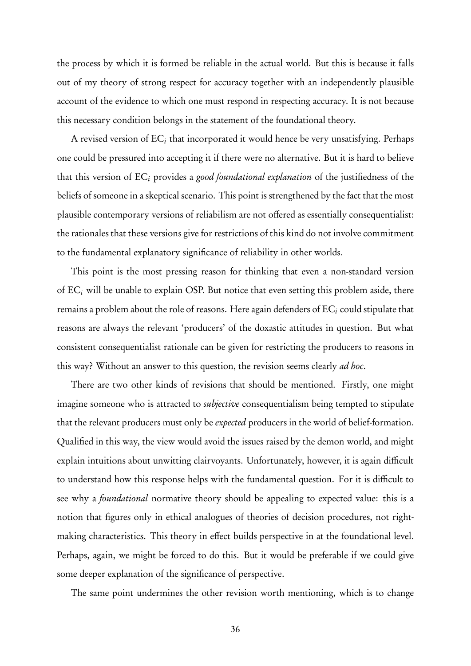the process by which it is formed be reliable in the actual world. But this is because it falls out of my theory of strong respect for accuracy together with an independently plausible account of the evidence to which one must respond in respecting accuracy. It is not because this necessary condition belongs in the statement of the foundational theory.

A revised version of  $\mathrm{EC}_i$  that incorporated it would hence be very unsatisfying. Perhaps one could be pressured into accepting it if there were no alternative. But it is hard to believe that this version of  $EC_i$  provides a good foundational explanation of the justifiedness of the beliefs of someone in a skeptical scenario. This point is strengthened by the fact that the most plausible contemporary versions of reliabilism are not offered as essentially consequentialist: the rationales that these versions give for restrictions of this kind do not involve commitment to the fundamental explanatory significance of reliability in other worlds.

This point is the most pressing reason for thinking that even a non-standard version of  $EC_i$  will be unable to explain OSP. But notice that even setting this problem aside, there remains a problem about the role of reasons. Here again defenders of  $EC<sub>i</sub>$  could stipulate that reasons are always the relevant 'producers' of the doxastic attitudes in question. But what consistent consequentialist rationale can be given for restricting the producers to reasons in this way? Without an answer to this question, the revision seems clearly *ad hoc*.

There are two other kinds of revisions that should be mentioned. Firstly, one might imagine someone who is attracted to *subjective* consequentialism being tempted to stipulate that the relevant producers must only be expected producers in the world of belief-formation. Qualified in this way, the view would avoid the issues raised by the demon world, and might explain intuitions about unwitting clairvoyants. Unfortunately, however, it is again difficult to understand how this response helps with the fundamental question. For it is difficult to see why a *foundational* normative theory should be appealing to expected value: this is a notion that figures only in ethical analogues of theories of decision procedures, not rightmaking characteristics. This theory in effect builds perspective in at the foundational level. Perhaps, again, we might be forced to do this. But it would be preferable if we could give some deeper explanation of the significance of perspective.

The same point undermines the other revision worth mentioning, which is to change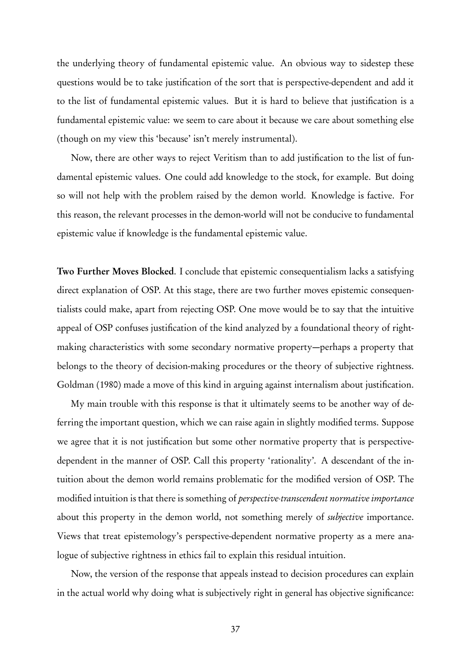the underlying theory of fundamental epistemic value. An obvious way to sidestep these questions would be to take justification of the sort that is perspective-dependent and add it to the list of fundamental epistemic values. But it is hard to believe that justification is a fundamental epistemic value: we seem to care about it because we care about something else ( though on my view this 'because' isn't merely instrumental).

Now, there are other ways to reject Veritism than to add justification to the list of fundamental epistemic values. One could add knowledge to the stock, for example. But doing so will not help with the problem raised by the demon world. Knowledge is factive. For this reason, the relevant processes in the demon-world will not be conducive to fundamental epistemic value if knowledge is the fundamental epistemic value.

Two Further Moves Blocked. I conclude that epistemic consequentialism lacks a satisfying direct explanation of OSP. At this stage, there are two further moves epistemic consequentialists could make, apart from rejecting OSP. One move would be to say that the intuitive appeal of OSP confuses justification of the kind analyzed by a foundational theory of rightmaking characteristics with some secondary normative property—perhaps a property that belongs to the theory of decision-making procedures or the theory of subjective rightness. Goldman (1980) made a move of this kind in arguing against internalism about justification.

My main trouble with this response is that it ultimately seems to be another way of deferring the important question, which we can raise again in slightly modified terms. Suppose we agree that it is not justification but some other normative property that is perspectivedependent in the manner of OSP. Call this property 'rationality'. A descendant of the intuition about the demon world remains problematic for the modified version of OSP. The modified intuition is that there is something of perspective-transcendent normative importance about this property in the demon world, not something merely of *subjective* importance. Views that treat epistemology's perspective-dependent normative property as a mere analogue of subjective rightness in ethics fail to explain this residual intuition.

Now, the version of the response that appeals instead to decision procedures can explain in the actual world why doing what is subjectively right in general has objective significance: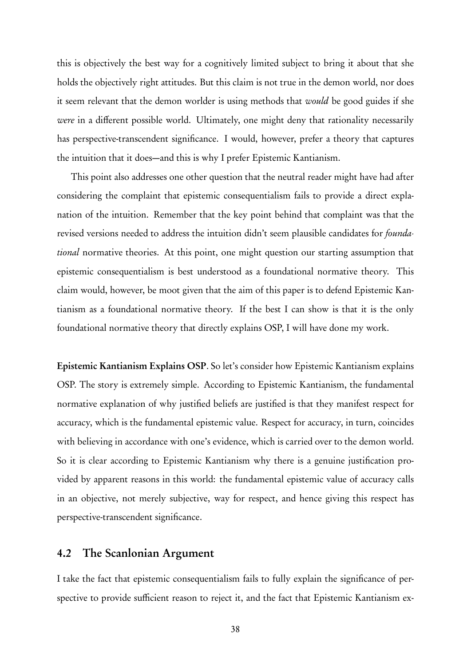this is objectively the best way for a cognitively limited subject to bring it about that she holds the objectively right attitudes. But this claim is not true in the demon world, nor does it seem relevant that the demon worlder is using methods that would be good guides if she were in a different possible world. Ultimately, one might deny that rationality necessarily has perspective-transcendent significance. I would, however, prefer a theory that captures the intuition that it does—and this is why I prefer Epistemic Kantianism.

This point also addresses one other question that the neutral reader might have had after considering the complaint that epistemic consequentialism fails to provide a direct explanation of the intuition. Remember that the key point behind that complaint was that the revised versions needed to address the intuition didn't seem plausible candidates for *founda*tional normative theories. At this point, one might question our starting assumption that epistemic consequentialism is best understood as a foundational normative theory. This claim would, however, be moot given that the aim of this paper is to defend Epistemic Kantianism as a foundational normative theory. If the best I can show is that it is the only foundational normative theory that directly explains OSP, I will have done my work.

Epistemic Kantianism Explains OSP. So let's consider how Epistemic Kantianism explains OSP. The story is extremely simple. According to Epistemic Kantianism, the fundamental normative explanation of why justified beliefs are justified is that they manifest respect for accuracy, which is the fundamental epistemic value. Respect for accuracy, in turn, coincides with believing in accordance with one's evidence, which is carried over to the demon world. So it is clear according to Epistemic Kantianism why there is a genuine justification provided by apparent reasons in this world: the fundamental epistemic value of accuracy calls in an objective, not merely subjective, way for respect, and hence giving this respect has perspective-transcendent significance.

#### 4.2 The Scanlonian Argument

I take the fact that epistemic consequentialism fails to fully explain the significance of perspective to provide sufficient reason to reject it, and the fact that Epistemic Kantianism ex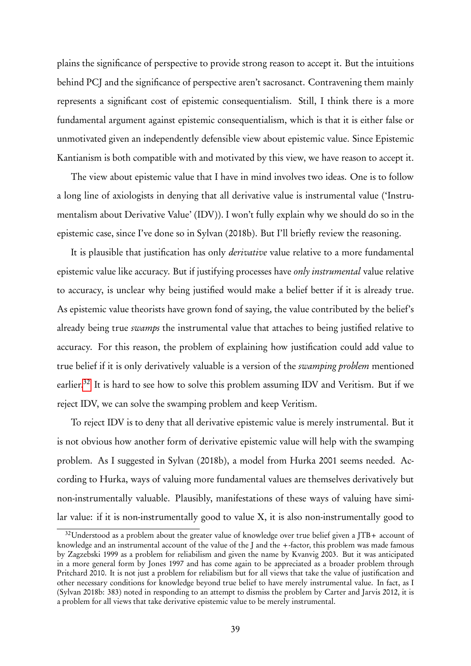plains the significance of perspective to provide strong reason to accept it. But the intuitions behind PCJ and the significance of perspective aren't sacrosanct. Contravening them mainly represents a significant cost of epistemic consequentialism. Still, I think there is a more fundamental argument against epistemic consequentialism, which is that it is either false or unmotivated given an independently defensible view about epistemic value. Since Epistemic Kantianism is both compatible with and motivated by this view, we have reason to accept it.

The view about epistemic value that I have in mind involves two ideas. One is to follow a long line of axiologists in denying that all derivative value is instrumental value ('Instrumentalism about Derivative Value' (IDV)). I won't fully explain why we should do so in the epistemic case, since I've done so in Sylvan (2018b). But I'll briefly review the reasoning.

It is plausible that justification has only *derivative* value relative to a more fundamental epistemic value like accuracy. But if justifying processes have only instrumental value relative to accuracy, is unclear why being justified would make a belief better if it is already true. As epistemic value theorists have grown fond of saying, the value contributed by the belief's already being true swamps the instrumental value that attaches to being justified relative to accuracy. For this reason, the problem of explaining how justification could add value to true belief if it is only derivatively valuable is a version of the *swamping problem* mentioned earlier.<sup>[32](#page-0-0)</sup> It is hard to see how to solve this problem assuming IDV and Veritism. But if we reject IDV, we can solve the swamping problem and keep Veritism.

To reject IDV is to deny that all derivative epistemic value is merely instrumental. But it is not obvious how another form of derivative epistemic value will help with the swamping problem. As I suggested in Sylvan (2018b), a model from Hurka 2001 seems needed. According to Hurka, ways of valuing more fundamental values are themselves derivatively but non-instrumentally valuable. Plausibly, manifestations of these ways of valuing have similar value: if it is non-instrumentally good to value X, it is also non-instrumentally good to

<sup>32</sup>Understood as a problem about the greater value of knowledge over true belief given a JTB+ account of knowledge and an instrumental account of the value of the J and the +-factor, this problem was made famous by Zagzebski 1999 as a problem for reliabilism and given the name by Kvanvig 2003. But it was anticipated in a more general form by Jones 1997 and has come again to be appreciated as a broader problem through Pritchard 2010. It is not just a problem for reliabilism but for all views that take the value of justification and other necessary conditions for knowledge beyond true belief to have merely instrumental value. In fact, as I (Sylvan 2018b: 383) noted in responding to an attempt to dismiss the problem by Carter and Jarvis 2012, it is a problem for all views that take derivative epistemic value to be merely instrumental.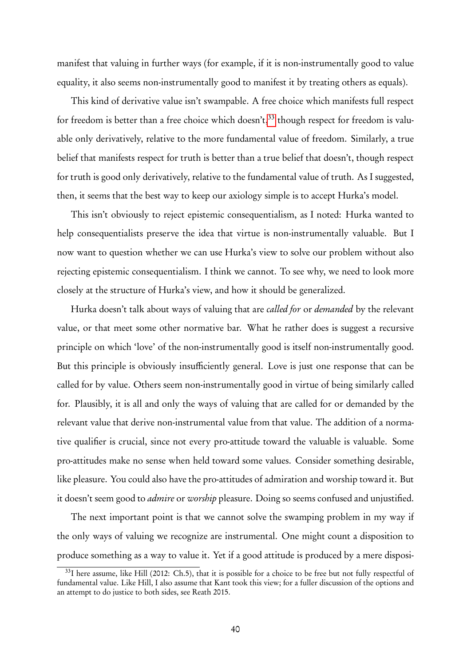manifest that valuing in further ways ( for example, if it is non-instrumentally good to value equality, it also seems non-instrumentally good to manifest it by treating others as equals).

This kind of derivative value isn't swampable. A free choice which manifests full respect for freedom is better than a free choice which doesn't,<sup>[33](#page-0-0)</sup> though respect for freedom is valuable only derivatively, relative to the more fundamental value of freedom. Similarly, a true belief that manifests respect for truth is better than a true belief that doesn't, though respect for truth is good only derivatively, relative to the fundamental value of truth. As I suggested, then, it seems that the best way to keep our axiology simple is to accept Hurka's model.

This isn't obviously to reject epistemic consequentialism, as I noted: Hurka wanted to help consequentialists preserve the idea that virtue is non-instrumentally valuable. But I now want to question whether we can use Hurka's view to solve our problem without also rejecting epistemic consequentialism. I think we cannot. To see why, we need to look more closely at the structure of Hurka's view, and how it should be generalized.

Hurka doesn't talk about ways of valuing that are *called for or demanded* by the relevant value, or that meet some other normative bar. What he rather does is suggest a recursive principle on which 'love' of the non-instrumentally good is itself non-instrumentally good. But this principle is obviously insufficiently general. Love is just one response that can be called for by value. Others seem non-instrumentally good in virtue of being similarly called for. Plausibly, it is all and only the ways of valuing that are called for or demanded by the relevant value that derive non-instrumental value from that value. The addition of a normative qualifier is crucial, since not every pro-attitude toward the valuable is valuable. Some pro-attitudes make no sense when held toward some values. Consider something desirable, like pleasure. You could also have the pro-attitudes of admiration and worship toward it. But it doesn't seem good to admire or worship pleasure. Doing so seems confused and unjustified.

The next important point is that we cannot solve the swamping problem in my way if the only ways of valuing we recognize are instrumental. One might count a disposition to produce something as a way to value it. Yet if a good attitude is produced by a mere disposi-

<sup>&</sup>lt;sup>33</sup>I here assume, like Hill (2012: Ch.5), that it is possible for a choice to be free but not fully respectful of fundamental value. Like Hill, I also assume that Kant took this view; for a fuller discussion of the options and an attempt to do justice to both sides, see Reath 2015.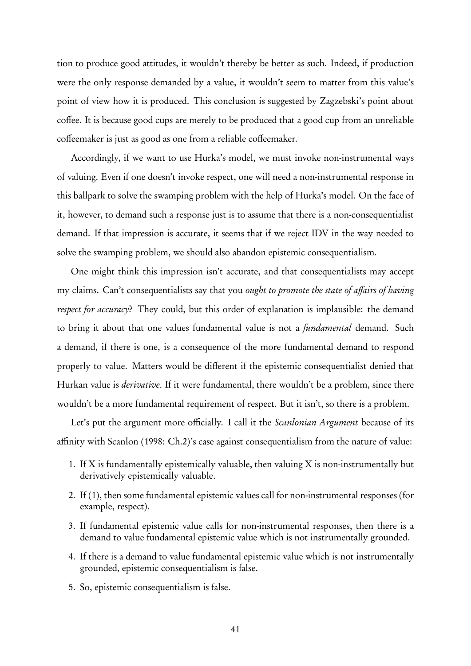tion to produce good attitudes, it wouldn't thereby be better as such. Indeed, if production were the only response demanded by a value, it wouldn't seem to matter from this value's point of view how it is produced. This conclusion is suggested by Zagzebski's point about coffee. It is because good cups are merely to be produced that a good cup from an unreliable coffeemaker is just as good as one from a reliable coffeemaker.

Accordingly, if we want to use Hurka's model, we must invoke non-instrumental ways of valuing. Even if one doesn't invoke respect, one will need a non-instrumental response in this ballpark to solve the swamping problem with the help of Hurka's model. On the face of it, however, to demand such a response just is to assume that there is a non-consequentialist demand. If that impression is accurate, it seems that if we reject IDV in the way needed to solve the swamping problem, we should also abandon epistemic consequentialism.

One might think this impression isn't accurate, and that consequentialists may accept my claims. Can't consequentialists say that you *ought to promote the state of affairs of having* respect for accuracy? They could, but this order of explanation is implausible: the demand to bring it about that one values fundamental value is not a *fundamental* demand. Such a demand, if there is one, is a consequence of the more fundamental demand to respond properly to value. Matters would be different if the epistemic consequentialist denied that Hurkan value is *derivative*. If it were fundamental, there wouldn't be a problem, since there wouldn't be a more fundamental requirement of respect. But it isn't, so there is a problem.

Let's put the argument more officially. I call it the *Scanlonian Argument* because of its affinity with Scanlon (1998: Ch.2)'s case against consequentialism from the nature of value:

- 1. If X is fundamentally epistemically valuable, then valuing X is non-instrumentally but derivatively epistemically valuable.
- 2. If (1), then some fundamental epistemic values call for non-instrumental responses ( for example, respect).
- 3. If fundamental epistemic value calls for non-instrumental responses, then there is a demand to value fundamental epistemic value which is not instrumentally grounded.
- 4. If there is a demand to value fundamental epistemic value which is not instrumentally grounded, epistemic consequentialism is false.
- 5. So, epistemic consequentialism is false.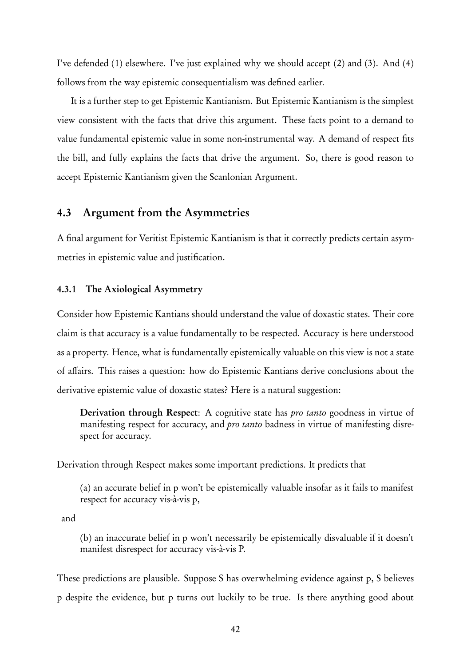I've defended (1) elsewhere. I've just explained why we should accept (2) and (3). And (4) follows from the way epistemic consequentialism was defined earlier.

It is a further step to get Epistemic Kantianism. But Epistemic Kantianism is the simplest view consistent with the facts that drive this argument. These facts point to a demand to value fundamental epistemic value in some non-instrumental way. A demand of respect fits the bill, and fully explains the facts that drive the argument. So, there is good reason to accept Epistemic Kantianism given the Scanlonian Argument.

#### 4.3 Argument from the Asymmetries

A final argument for Veritist Epistemic Kantianism is that it correctly predicts certain asymmetries in epistemic value and justification.

#### 4.3.1 The Axiological Asymmetry

Consider how Epistemic Kantians should understand the value of doxastic states. Their core claim is that accuracy is a value fundamentally to be respected. Accuracy is here understood as a property. Hence, what is fundamentally epistemically valuable on this view is not a state of affairs. This raises a question: how do Epistemic Kantians derive conclusions about the derivative epistemic value of doxastic states? Here is a natural suggestion:

Derivation through Respect: A cognitive state has *pro tanto* goodness in virtue of manifesting respect for accuracy, and *pro tanto* badness in virtue of manifesting disrespect for accuracy.

Derivation through Respect makes some important predictions. It predicts that

(a) an accurate belief in p won't be epistemically valuable insofar as it fails to manifest respect for accuracy vis-à-vis p,

and

(b) an inaccurate belief in p won't necessarily be epistemically disvaluable if it doesn't manifest disrespect for accuracy vis-à-vis P.

These predictions are plausible. Suppose S has overwhelming evidence against p, S believes p despite the evidence, but p turns out luckily to be true. Is there anything good about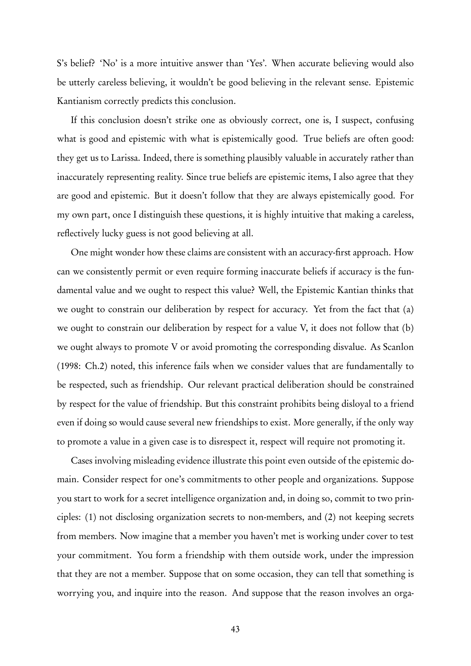S's belief? 'No' is a more intuitive answer than 'Yes'. When accurate believing would also be utterly careless believing, it wouldn't be good believing in the relevant sense. Epistemic Kantianism correctly predicts this conclusion.

If this conclusion doesn't strike one as obviously correct, one is, I suspect, confusing what is good and epistemic with what is epistemically good. True beliefs are often good: they get us to Larissa. Indeed, there is something plausibly valuable in accurately rather than inaccurately representing reality. Since true beliefs are epistemic items, I also agree that they are good and epistemic. But it doesn't follow that they are always epistemically good. For my own part, once I distinguish these questions, it is highly intuitive that making a careless, reflectively lucky guess is not good believing at all.

One might wonder how these claims are consistent with an accuracy-first approach. How can we consistently permit or even require forming inaccurate beliefs if accuracy is the fundamental value and we ought to respect this value? Well, the Epistemic Kantian thinks that we ought to constrain our deliberation by respect for accuracy. Yet from the fact that (a) we ought to constrain our deliberation by respect for a value V, it does not follow that (b) we ought always to promote V or avoid promoting the corresponding disvalue. As Scanlon (1998: Ch.2) noted, this inference fails when we consider values that are fundamentally to be respected, such as friendship. Our relevant practical deliberation should be constrained by respect for the value of friendship. But this constraint prohibits being disloyal to a friend even if doing so would cause several new friendships to exist. More generally, if the only way to promote a value in a given case is to disrespect it, respect will require not promoting it.

Cases involving misleading evidence illustrate this point even outside of the epistemic domain. Consider respect for one's commitments to other people and organizations. Suppose you start to work for a secret intelligence organization and, in doing so, commit to two principles: (1) not disclosing organization secrets to non-members, and (2) not keeping secrets from members. Now imagine that a member you haven't met is working under cover to test your commitment. You form a friendship with them outside work, under the impression that they are not a member. Suppose that on some occasion, they can tell that something is worrying you, and inquire into the reason. And suppose that the reason involves an orga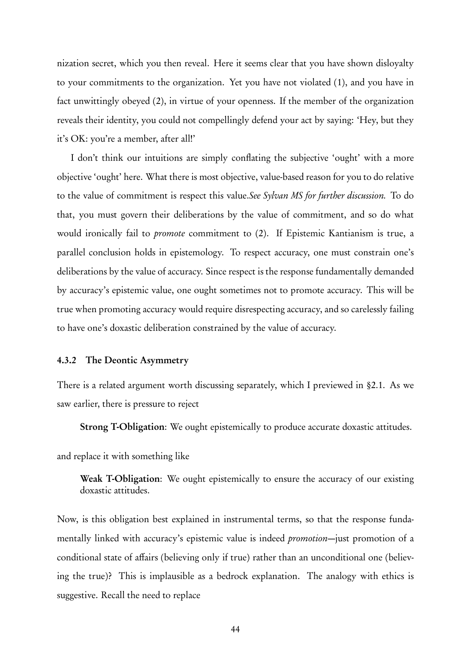nization secret, which you then reveal. Here it seems clear that you have shown disloyalty to your commitments to the organization. Yet you have not violated (1), and you have in fact unwittingly obeyed (2), in virtue of your openness. If the member of the organization reveals their identity, you could not compellingly defend your act by saying: 'Hey, but they it's OK: you're a member, after all!'

I don't think our intuitions are simply conflating the subjective 'ought' with a more objective 'ought' here. What there is most objective, value-based reason for you to do relative to the value of commitment is respect this value.See Sylvan MS for further discussion. To do that, you must govern their deliberations by the value of commitment, and so do what would ironically fail to promote commitment to (2). If Epistemic Kantianism is true, a parallel conclusion holds in epistemology. To respect accuracy, one must constrain one's deliberations by the value of accuracy. Since respect is the response fundamentally demanded by accuracy's epistemic value, one ought sometimes not to promote accuracy. This will be true when promoting accuracy would require disrespecting accuracy, and so carelessly failing to have one's doxastic deliberation constrained by the value of accuracy.

#### 4.3.2 The Deontic Asymmetry

There is a related argument worth discussing separately, which I previewed in §2.1. As we saw earlier, there is pressure to reject

Strong T-Obligation: We ought epistemically to produce accurate doxastic attitudes.

and replace it with something like

Weak T-Obligation: We ought epistemically to ensure the accuracy of our existing doxastic attitudes.

Now, is this obligation best explained in instrumental terms, so that the response fundamentally linked with accuracy's epistemic value is indeed promotion—just promotion of a conditional state of affairs (believing only if true) rather than an unconditional one (believing the true)? This is implausible as a bedrock explanation. The analogy with ethics is suggestive. Recall the need to replace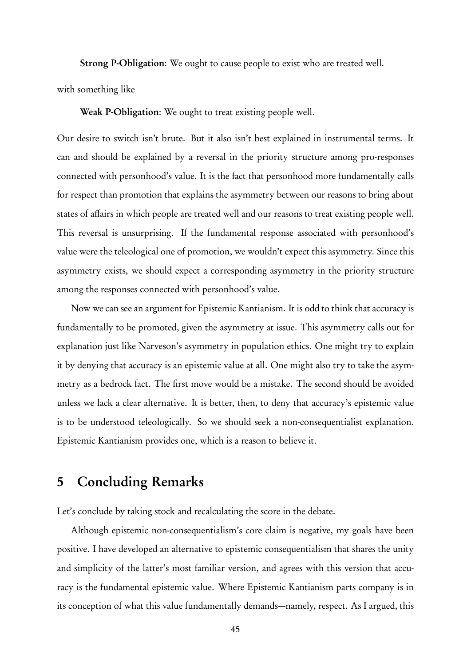Strong P-Obligation: We ought to cause people to exist who are treated well.

with something like

Weak P-Obligation: We ought to treat existing people well.

Our desire to switch isn't brute. But it also isn't best explained in instrumental terms. It can and should be explained by a reversal in the priority structure among pro-responses connected with personhood's value. It is the fact that personhood more fundamentally calls for respect than promotion that explains the asymmetry between our reasons to bring about states of affairs in which people are treated well and our reasons to treat existing people well. This reversal is unsurprising. If the fundamental response associated with personhood's value were the teleological one of promotion, we wouldn't expect this asymmetry. Since this asymmetry exists, we should expect a corresponding asymmetry in the priority structure among the responses connected with personhood's value.

Now we can see an argument for Epistemic Kantianism. It is odd to think that accuracy is fundamentally to be promoted, given the asymmetry at issue. This asymmetry calls out for explanation just like Narveson's asymmetry in population ethics. One might try to explain it by denying that accuracy is an epistemic value at all. One might also try to take the asymmetry as a bedrock fact. The first move would be a mistake. The second should be avoided unless we lack a clear alternative. It is better, then, to deny that accuracy's epistemic value is to be understood teleologically. So we should seek a non-consequentialist explanation. Epistemic Kantianism provides one, which is a reason to believe it.

## 5 Concluding Remarks

Let's conclude by taking stock and recalculating the score in the debate.

Although epistemic non-consequentialism's core claim is negative, my goals have been positive. I have developed an alternative to epistemic consequentialism that shares the unity and simplicity of the latter's most familiar version, and agrees with this version that accuracy is the fundamental epistemic value. Where Epistemic Kantianism parts company is in its conception of what this value fundamentally demands—namely, respect. As I argued, this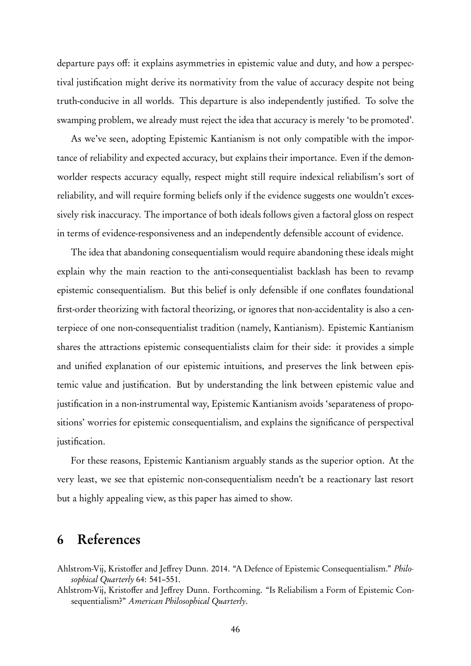departure pays off: it explains asymmetries in epistemic value and duty, and how a perspectival justification might derive its normativity from the value of accuracy despite not being truth-conducive in all worlds. This departure is also independently justified. To solve the swamping problem, we already must reject the idea that accuracy is merely 'to be promoted'.

As we've seen, adopting Epistemic Kantianism is not only compatible with the importance of reliability and expected accuracy, but explains their importance. Even if the demonworlder respects accuracy equally, respect might still require indexical reliabilism's sort of reliability, and will require forming beliefs only if the evidence suggests one wouldn't excessively risk inaccuracy. The importance of both ideals follows given a factoral gloss on respect in terms of evidence-responsiveness and an independently defensible account of evidence.

The idea that abandoning consequentialism would require abandoning these ideals might explain why the main reaction to the anti-consequentialist backlash has been to revamp epistemic consequentialism. But this belief is only defensible if one conflates foundational first-order theorizing with factoral theorizing, or ignores that non-accidentality is also a centerpiece of one non-consequentialist tradition (namely, Kantianism). Epistemic Kantianism shares the attractions epistemic consequentialists claim for their side: it provides a simple and unified explanation of our epistemic intuitions, and preserves the link between epistemic value and justification. But by understanding the link between epistemic value and justification in a non-instrumental way, Epistemic Kantianism avoids 'separateness of propositions' worries for epistemic consequentialism, and explains the significance of perspectival justification.

For these reasons, Epistemic Kantianism arguably stands as the superior option. At the very least, we see that epistemic non-consequentialism needn't be a reactionary last resort but a highly appealing view, as this paper has aimed to show.

## 6 References

- Ahlstrom-Vij, Kristoffer and Jeffrey Dunn. 2014. "A Defence of Epistemic Consequentialism." Philosophical Quarterly 64: 541–551.
- Ahlstrom-Vij, Kristoffer and Jeffrey Dunn. Forthcoming. "Is Reliabilism a Form of Epistemic Consequentialism?" American Philosophical Quarterly.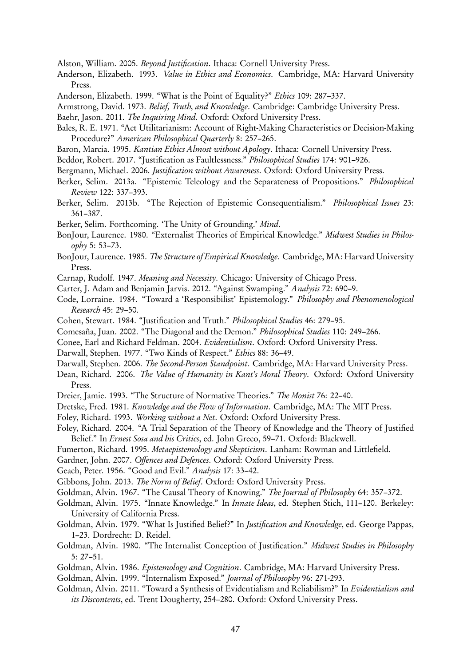Alston, William. 2005. Beyond Justification. Ithaca: Cornell University Press.

- Anderson, Elizabeth. 1993. *Value in Ethics and Economics*. Cambridge, MA: Harvard University Press.
- Anderson, Elizabeth. 1999. "What is the Point of Equality?" Ethics 109: 287–337.
- Armstrong, David. 1973. Belief, Truth, and Knowledge. Cambridge: Cambridge University Press.
- Baehr, Jason. 2011. The Inquiring Mind. Oxford: Oxford University Press.
- Bales, R. E. 1971. "Act Utilitarianism: Account of Right-Making Characteristics or Decision-Making Procedure?" American Philosophical Quarterly 8: 257–265.
- Baron, Marcia. 1995. Kantian Ethics Almost without Apology. Ithaca: Cornell University Press.
- Beddor, Robert. 2017. "Justification as Faultlessness." Philosophical Studies 174: 901–926.
- Bergmann, Michael. 2006. Justification without Awareness. Oxford: Oxford University Press.
- Berker, Selim. 2013a. "Epistemic Teleology and the Separateness of Propositions." Philosophical Review 122: 337–393.
- Berker, Selim. 2013b. "The Rejection of Epistemic Consequentialism." Philosophical Issues 23: 361–387.
- Berker, Selim. Forthcoming. 'The Unity of Grounding.' Mind.
- BonJour, Laurence. 1980. "Externalist Theories of Empirical Knowledge." Midwest Studies in Philosophy 5: 53–73.
- BonJour, Laurence. 1985. The Structure of Empirical Knowledge. Cambridge, MA: Harvard University Press.
- Carnap, Rudolf. 1947. Meaning and Necessity. Chicago: University of Chicago Press.
- Carter, J. Adam and Benjamin Jarvis. 2012. "Against Swamping." Analysis 72: 690–9.
- Code, Lorraine. 1984. "Toward a 'Responsibilist' Epistemology." Philosophy and Phenomenological Research 45: 29–50.
- Cohen, Stewart. 1984. "Justification and Truth." Philosophical Studies 46: 279–95.
- Comesaña, Juan. 2002. "The Diagonal and the Demon." Philosophical Studies 110: 249–266.
- Conee, Earl and Richard Feldman. 2004. Evidentialism. Oxford: Oxford University Press.
- Darwall, Stephen. 1977. "Two Kinds of Respect." Ethics 88: 36–49.
- Darwall, Stephen. 2006. The Second-Person Standpoint. Cambridge, MA: Harvard University Press.
- Dean, Richard. 2006. The Value of Humanity in Kant's Moral Theory. Oxford: Oxford University Press.
- Dreier, Jamie. 1993. "The Structure of Normative Theories." The Monist 76: 22–40.
- Dretske, Fred. 1981. Knowledge and the Flow of Information. Cambridge, MA: The MIT Press.
- Foley, Richard. 1993. Working without a Net. Oxford: Oxford University Press.
- Foley, Richard. 2004. "A Trial Separation of the Theory of Knowledge and the Theory of Justified Belief." In Ernest Sosa and his Critics, ed. John Greco, 59–71. Oxford: Blackwell.
- Fumerton, Richard. 1995. Metaepistemology and Skepticism. Lanham: Rowman and Littlefield.
- Gardner, John. 2007. Offences and Defences. Oxford: Oxford University Press.
- Geach, Peter. 1956. "Good and Evil." Analysis 17: 33–42.
- Gibbons, John. 2013. The Norm of Belief. Oxford: Oxford University Press.
- Goldman, Alvin. 1967. "The Causal Theory of Knowing." The Journal of Philosophy 64: 357–372.
- Goldman, Alvin. 1975. "Innate Knowledge." In Innate Ideas, ed. Stephen Stich, 111–120. Berkeley: University of California Press.
- Goldman, Alvin. 1979. "What Is Justified Belief?" In Justification and Knowledge, ed. George Pappas, 1–23. Dordrecht: D. Reidel.
- Goldman, Alvin. 1980. "The Internalist Conception of Justification." Midwest Studies in Philosophy 5: 27–51.
- Goldman, Alvin. 1986. Epistemology and Cognition. Cambridge, MA: Harvard University Press.
- Goldman, Alvin. 1999. "Internalism Exposed." Journal of Philosophy 96: 271-293.
- Goldman, Alvin. 2011. "Toward a Synthesis of Evidentialism and Reliabilism?" In Evidentialism and its Discontents, ed. Trent Dougherty, 254–280. Oxford: Oxford University Press.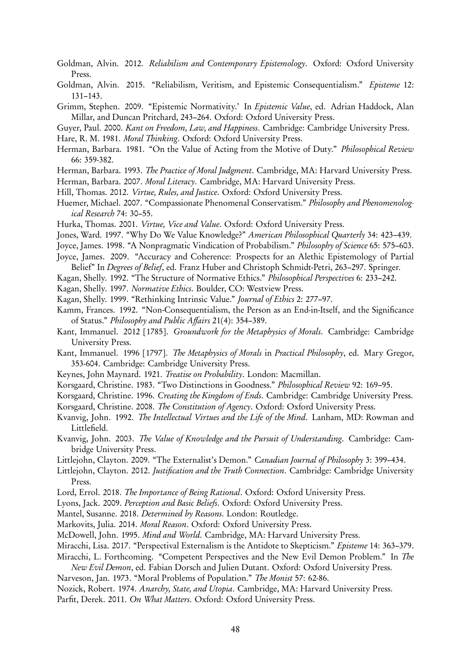Goldman, Alvin. 2012. Reliabilism and Contemporary Epistemology. Oxford: Oxford University Press.

Goldman, Alvin. 2015. "Reliabilism, Veritism, and Epistemic Consequentialism." Episteme 12: 131–143.

Grimm, Stephen. 2009. "Epistemic Normativity.' In Epistemic Value, ed. Adrian Haddock, Alan Millar, and Duncan Pritchard, 243–264. Oxford: Oxford University Press.

Guyer, Paul. 2000. Kant on Freedom, Law, and Happiness. Cambridge: Cambridge University Press.

- Hare, R. M. 1981. Moral Thinking. Oxford: Oxford University Press.
- Herman, Barbara. 1981. "On the Value of Acting from the Motive of Duty." Philosophical Review 66: 359-382.
- Herman, Barbara. 1993. The Practice of Moral Judgment. Cambridge, MA: Harvard University Press.
- Herman, Barbara. 2007. Moral Literacy. Cambridge, MA: Harvard University Press.
- Hill, Thomas. 2012. Virtue, Rules, and Justice. Oxford: Oxford University Press.
- Huemer, Michael. 2007. "Compassionate Phenomenal Conservatism." Philosophy and Phenomenological Research 74: 30–55.
- Hurka, Thomas. 2001. Virtue, Vice and Value. Oxford: Oxford University Press.
- Jones, Ward. 1997. "Why Do We Value Knowledge?" American Philosophical Quarterly 34: 423-439.
- Joyce, James. 1998. "A Nonpragmatic Vindication of Probabilism." Philosophy of Science 65: 575–603.
- Joyce, James. 2009. "Accuracy and Coherence: Prospects for an Alethic Epistemology of Partial Belief" In Degrees of Belief, ed. Franz Huber and Christoph Schmidt-Petri, 263–297. Springer.
- Kagan, Shelly. 1992. "The Structure of Normative Ethics." Philosophical Perspectives 6: 233–242.
- Kagan, Shelly. 1997. Normative Ethics. Boulder, CO: Westview Press.
- Kagan, Shelly. 1999. "Rethinking Intrinsic Value." Journal of Ethics 2: 277–97.
- Kamm, Frances. 1992. "Non-Consequentialism, the Person as an End-in-Itself, and the Significance of Status." Philosophy and Public Affairs 21(4): 354–389.
- Kant, Immanuel. 2012 [1785]. Groundwork for the Metaphysics of Morals. Cambridge: Cambridge University Press.
- Kant, Immanuel. 1996 [1797]. The Metaphysics of Morals in Practical Philosophy, ed. Mary Gregor, 353-604. Cambridge: Cambridge University Press.
- Keynes, John Maynard. 1921. Treatise on Probability. London: Macmillan.
- Korsgaard, Christine. 1983. "Two Distinctions in Goodness." Philosophical Review 92: 169–95.
- Korsgaard, Christine. 1996. Creating the Kingdom of Ends. Cambridge: Cambridge University Press.
- Korsgaard, Christine. 2008. The Constitution of Agency. Oxford: Oxford University Press.
- Kvanvig, John. 1992. *The Intellectual Virtues and the Life of the Mind.* Lanham, MD: Rowman and Littlefield.
- Kvanvig, John. 2003. The Value of Knowledge and the Pursuit of Understanding. Cambridge: Cambridge University Press.
- Littlejohn, Clayton. 2009. "The Externalist's Demon." Canadian Journal of Philosophy 3: 399–434.
- Littlejohn, Clayton. 2012. Justification and the Truth Connection. Cambridge: Cambridge University Press.
- Lord, Errol. 2018. The Importance of Being Rational. Oxford: Oxford University Press.
- Lyons, Jack. 2009. Perception and Basic Beliefs. Oxford: Oxford University Press.
- Mantel, Susanne. 2018. Determined by Reasons. London: Routledge.
- Markovits, Julia. 2014. Moral Reason. Oxford: Oxford University Press.
- McDowell, John. 1995. Mind and World. Cambridge, MA: Harvard University Press.
- Miracchi, Lisa. 2017. "Perspectival Externalism is the Antidote to Skepticism." Episteme 14: 363–379.
- Miracchi, L. Forthcoming. "Competent Perspectives and the New Evil Demon Problem." In The New Evil Demon, ed. Fabian Dorsch and Julien Dutant. Oxford: Oxford University Press.
- Narveson, Jan. 1973. "Moral Problems of Population." The Monist 57: 62-86.

Nozick, Robert. 1974. Anarchy, State, and Utopia. Cambridge, MA: Harvard University Press.

Parfit, Derek. 2011. On What Matters. Oxford: Oxford University Press.